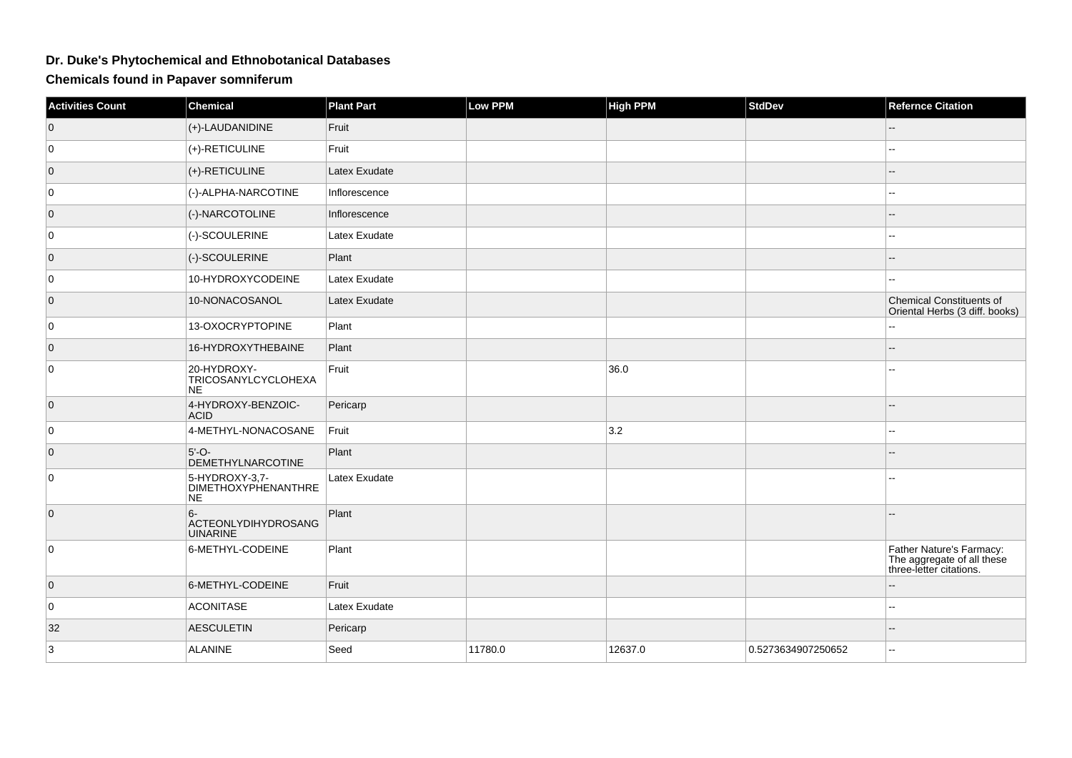## **Dr. Duke's Phytochemical and Ethnobotanical Databases**

**Chemicals found in Papaver somniferum**

| <b>Activities Count</b> | <b>Chemical</b>                                     | <b>Plant Part</b> | <b>Low PPM</b> | <b>High PPM</b> | <b>StdDev</b>      | <b>Refernce Citation</b>                                                          |
|-------------------------|-----------------------------------------------------|-------------------|----------------|-----------------|--------------------|-----------------------------------------------------------------------------------|
| $\overline{0}$          | (+)-LAUDANIDINE                                     | Fruit             |                |                 |                    |                                                                                   |
| 0                       | (+)-RETICULINE                                      | Fruit             |                |                 |                    |                                                                                   |
| $\overline{0}$          | (+)-RETICULINE                                      | Latex Exudate     |                |                 |                    |                                                                                   |
| $\overline{0}$          | (-)-ALPHA-NARCOTINE                                 | Inflorescence     |                |                 |                    |                                                                                   |
| $\overline{0}$          | (-)-NARCOTOLINE                                     | Inflorescence     |                |                 |                    |                                                                                   |
| 0                       | (-)-SCOULERINE                                      | Latex Exudate     |                |                 |                    |                                                                                   |
| $\overline{0}$          | (-)-SCOULERINE                                      | Plant             |                |                 |                    |                                                                                   |
| 0                       | 10-HYDROXYCODEINE                                   | Latex Exudate     |                |                 |                    |                                                                                   |
| $\overline{0}$          | 10-NONACOSANOL                                      | Latex Exudate     |                |                 |                    | Chemical Constituents of<br>Oriental Herbs (3 diff. books)                        |
| 0                       | 13-OXOCRYPTOPINE                                    | Plant             |                |                 |                    |                                                                                   |
| $\overline{0}$          | 16-HYDROXYTHEBAINE                                  | Plant             |                |                 |                    |                                                                                   |
| $\overline{0}$          | 20-HYDROXY-<br>TRICOSANYLCYCLOHEXA<br>NE.           | Fruit             |                | 36.0            |                    |                                                                                   |
| $\overline{0}$          | 4-HYDROXY-BENZOIC-<br><b>ACID</b>                   | Pericarp          |                |                 |                    |                                                                                   |
| $\overline{0}$          | 4-METHYL-NONACOSANE                                 | Fruit             |                | 3.2             |                    | --                                                                                |
| $\overline{0}$          | $5'-O-$<br><b>DEMETHYLNARCOTINE</b>                 | Plant             |                |                 |                    |                                                                                   |
| $\overline{0}$          | 5-HYDROXY-3,7-<br><b>DIMETHOXYPHENANTHRE</b><br>NE. | Latex Exudate     |                |                 |                    |                                                                                   |
| $\overline{0}$          | $6-$<br>ACTEONLYDIHYDROSANG<br><b>UINARINE</b>      | Plant             |                |                 |                    |                                                                                   |
| $\overline{0}$          | 6-METHYL-CODEINE                                    | Plant             |                |                 |                    | Father Nature's Farmacy:<br>The aggregate of all these<br>three-letter citations. |
| $\overline{0}$          | 6-METHYL-CODEINE                                    | Fruit             |                |                 |                    |                                                                                   |
| 0                       | <b>ACONITASE</b>                                    | Latex Exudate     |                |                 |                    | --                                                                                |
| 32                      | <b>AESCULETIN</b>                                   | Pericarp          |                |                 |                    |                                                                                   |
| 3                       | <b>ALANINE</b>                                      | Seed              | 11780.0        | 12637.0         | 0.5273634907250652 |                                                                                   |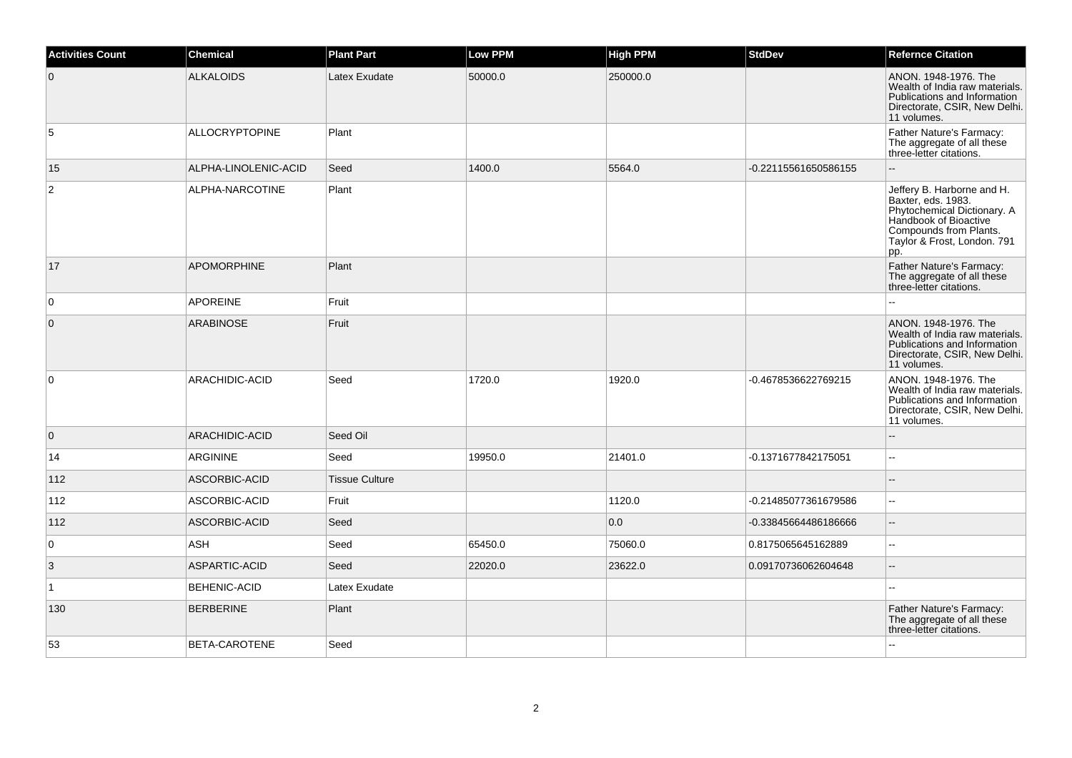| <b>Activities Count</b> | <b>Chemical</b>       | <b>Plant Part</b>     | <b>Low PPM</b> | <b>High PPM</b> | <b>StdDev</b>        | <b>Refernce Citation</b>                                                                                                                                                 |
|-------------------------|-----------------------|-----------------------|----------------|-----------------|----------------------|--------------------------------------------------------------------------------------------------------------------------------------------------------------------------|
| $\mathbf 0$             | <b>ALKALOIDS</b>      | Latex Exudate         | 50000.0        | 250000.0        |                      | ANON. 1948-1976. The<br>Wealth of India raw materials.<br>Publications and Information<br>Directorate, CSIR, New Delhi.<br>11 volumes.                                   |
| 5                       | <b>ALLOCRYPTOPINE</b> | Plant                 |                |                 |                      | Father Nature's Farmacy:<br>The aggregate of all these<br>three-letter citations.                                                                                        |
| 15                      | ALPHA-LINOLENIC-ACID  | Seed                  | 1400.0         | 5564.0          | -0.22115561650586155 |                                                                                                                                                                          |
| $\boldsymbol{2}$        | ALPHA-NARCOTINE       | Plant                 |                |                 |                      | Jeffery B. Harborne and H.<br>Baxter, eds. 1983.<br>Phytochemical Dictionary. A<br>Handbook of Bioactive<br>Compounds from Plants.<br>Taylor & Frost, London. 791<br>pp. |
| 17                      | <b>APOMORPHINE</b>    | Plant                 |                |                 |                      | Father Nature's Farmacy:<br>The aggregate of all these<br>three-letter citations.                                                                                        |
| 0                       | <b>APOREINE</b>       | Fruit                 |                |                 |                      |                                                                                                                                                                          |
| $\mathbf 0$             | ARABINOSE             | Fruit                 |                |                 |                      | ANON. 1948-1976. The<br>Wealth of India raw materials.<br>Publications and Information<br>Directorate, CSIR, New Delhi.<br>11 volumes.                                   |
| $\mathbf 0$             | ARACHIDIC-ACID        | Seed                  | 1720.0         | 1920.0          | -0.4678536622769215  | ANON. 1948-1976. The<br>Wealth of India raw materials.<br>Publications and Information<br>Directorate, CSIR, New Delhi.<br>11 volumes.                                   |
| $\overline{0}$          | ARACHIDIC-ACID        | Seed Oil              |                |                 |                      |                                                                                                                                                                          |
| 14                      | <b>ARGININE</b>       | Seed                  | 19950.0        | 21401.0         | -0.1371677842175051  | $\sim$                                                                                                                                                                   |
| 112                     | ASCORBIC-ACID         | <b>Tissue Culture</b> |                |                 |                      |                                                                                                                                                                          |
| 112                     | ASCORBIC-ACID         | Fruit                 |                | 1120.0          | -0.21485077361679586 | $\overline{\phantom{a}}$                                                                                                                                                 |
| 112                     | ASCORBIC-ACID         | Seed                  |                | 0.0             | -0.33845664486186666 | $\sim$                                                                                                                                                                   |
| 0                       | ASH                   | Seed                  | 65450.0        | 75060.0         | 0.8175065645162889   |                                                                                                                                                                          |
| 3                       | ASPARTIC-ACID         | Seed                  | 22020.0        | 23622.0         | 0.09170736062604648  | $\overline{a}$                                                                                                                                                           |
| $\mathbf{1}$            | <b>BEHENIC-ACID</b>   | Latex Exudate         |                |                 |                      | $\sim$                                                                                                                                                                   |
| 130                     | <b>BERBERINE</b>      | Plant                 |                |                 |                      | Father Nature's Farmacy:<br>The aggregate of all these<br>three-letter citations.                                                                                        |
| 53                      | BETA-CAROTENE         | Seed                  |                |                 |                      |                                                                                                                                                                          |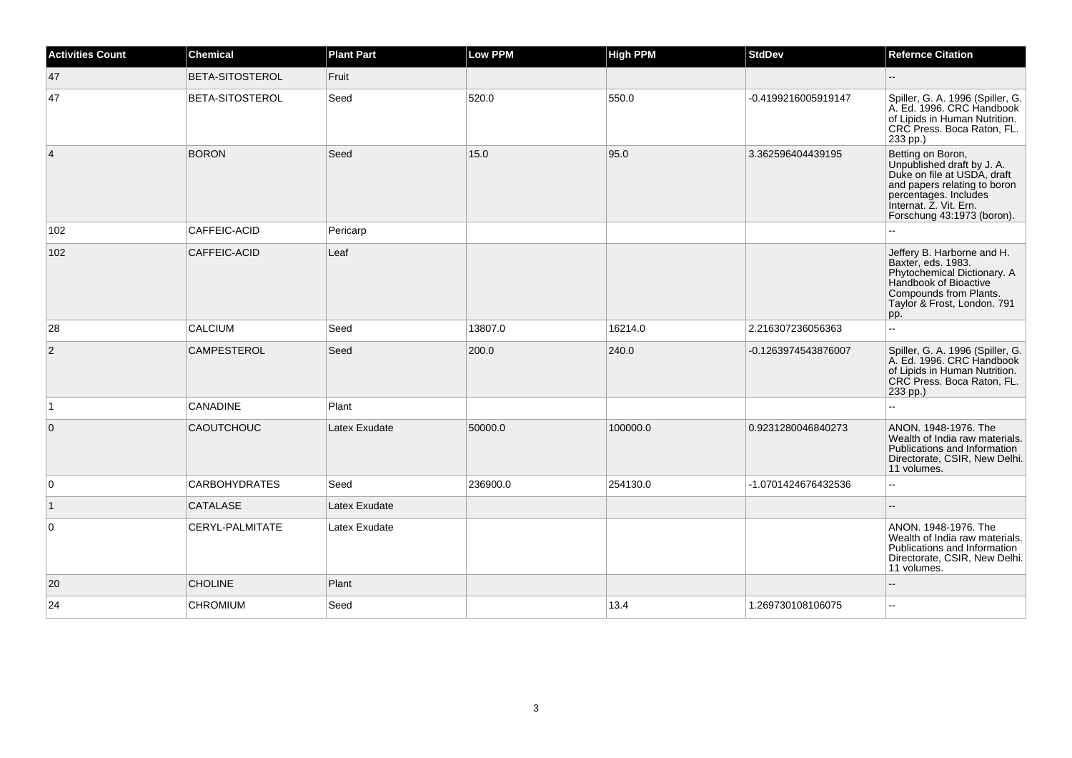| <b>Activities Count</b> | <b>Chemical</b>        | <b>Plant Part</b> | <b>Low PPM</b> | <b>High PPM</b> | <b>StdDev</b>       | <b>Refernce Citation</b>                                                                                                                                                                        |
|-------------------------|------------------------|-------------------|----------------|-----------------|---------------------|-------------------------------------------------------------------------------------------------------------------------------------------------------------------------------------------------|
| 47                      | BETA-SITOSTEROL        | Fruit             |                |                 |                     |                                                                                                                                                                                                 |
| 47                      | <b>BETA-SITOSTEROL</b> | Seed              | 520.0          | 550.0           | -0.4199216005919147 | Spiller, G. A. 1996 (Spiller, G.<br>A. Ed. 1996. CRC Handbook<br>of Lipids in Human Nutrition.<br>CRC Press. Boca Raton, FL.<br>233 pp.)                                                        |
| $\overline{4}$          | <b>BORON</b>           | Seed              | 15.0           | 95.0            | 3.362596404439195   | Betting on Boron,<br>Unpublished draft by J. A.<br>Duke on file at USDA, draft<br>and papers relating to boron<br>percentages. Includes<br>Internat. Z. Vit. Ern.<br>Forschung 43:1973 (boron). |
| 102                     | CAFFEIC-ACID           | Pericarp          |                |                 |                     |                                                                                                                                                                                                 |
| 102                     | CAFFEIC-ACID           | Leaf              |                |                 |                     | Jeffery B. Harborne and H.<br>Baxter, eds. 1983.<br>Phytochemical Dictionary. A<br>Handbook of Bioactive<br>Compounds from Plants.<br>Taylor & Frost, London. 791<br>pp.                        |
| 28                      | <b>CALCIUM</b>         | Seed              | 13807.0        | 16214.0         | 2.216307236056363   | $\sim$ $\sim$                                                                                                                                                                                   |
| $\overline{2}$          | <b>CAMPESTEROL</b>     | Seed              | 200.0          | 240.0           | -0.1263974543876007 | Spiller, G. A. 1996 (Spiller, G.<br>A. Ed. 1996. CRC Handbook<br>of Lipids in Human Nutrition.<br>CRC Press. Boca Raton, FL.<br>233 pp.)                                                        |
| $\vert$ 1               | <b>CANADINE</b>        | Plant             |                |                 |                     |                                                                                                                                                                                                 |
| $\mathbf 0$             | <b>CAOUTCHOUC</b>      | Latex Exudate     | 50000.0        | 100000.0        | 0.9231280046840273  | ANON. 1948-1976. The<br>Wealth of India raw materials.<br>Publications and Information<br>Directorate, CSIR, New Delhi.<br>11 volumes.                                                          |
| $\mathbf 0$             | <b>CARBOHYDRATES</b>   | Seed              | 236900.0       | 254130.0        | -1.0701424676432536 | $\sim$ $\sim$                                                                                                                                                                                   |
| $\vert$ 1               | CATALASE               | Latex Exudate     |                |                 |                     | $\overline{\phantom{a}}$                                                                                                                                                                        |
| 0                       | CERYL-PALMITATE        | Latex Exudate     |                |                 |                     | ANON. 1948-1976. The<br>Wealth of India raw materials.<br>Publications and Information<br>Directorate, CSIR, New Delhi.<br>11 volumes.                                                          |
| 20                      | <b>CHOLINE</b>         | Plant             |                |                 |                     |                                                                                                                                                                                                 |
| 24                      | <b>CHROMIUM</b>        | Seed              |                | 13.4            | 1.269730108106075   | $\overline{a}$                                                                                                                                                                                  |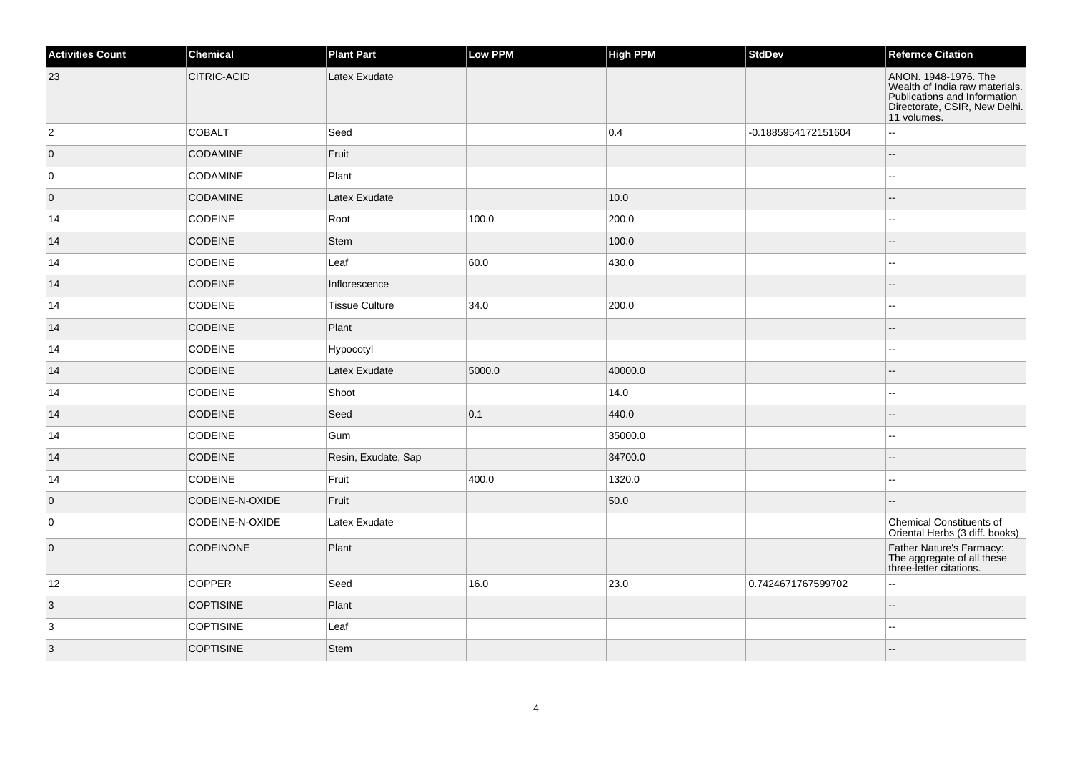| <b>Activities Count</b> | <b>Chemical</b>  | <b>Plant Part</b>     | <b>Low PPM</b> | <b>High PPM</b> | <b>StdDev</b>       | <b>Refernce Citation</b>                                                                                                               |
|-------------------------|------------------|-----------------------|----------------|-----------------|---------------------|----------------------------------------------------------------------------------------------------------------------------------------|
| 23                      | CITRIC-ACID      | Latex Exudate         |                |                 |                     | ANON. 1948-1976. The<br>Wealth of India raw materials.<br>Publications and Information<br>Directorate, CSIR, New Delhi.<br>11 volumes. |
| $\overline{2}$          | <b>COBALT</b>    | Seed                  |                | 0.4             | -0.1885954172151604 | L.                                                                                                                                     |
| $\overline{0}$          | <b>CODAMINE</b>  | Fruit                 |                |                 |                     | --                                                                                                                                     |
| 0                       | <b>CODAMINE</b>  | Plant                 |                |                 |                     | Щ,                                                                                                                                     |
| $\overline{0}$          | <b>CODAMINE</b>  | Latex Exudate         |                | 10.0            |                     |                                                                                                                                        |
| 14                      | CODEINE          | Root                  | 100.0          | 200.0           |                     |                                                                                                                                        |
| 14                      | <b>CODEINE</b>   | <b>Stem</b>           |                | 100.0           |                     |                                                                                                                                        |
| 14                      | <b>CODEINE</b>   | Leaf                  | 60.0           | 430.0           |                     | --                                                                                                                                     |
| 14                      | <b>CODEINE</b>   | Inflorescence         |                |                 |                     |                                                                                                                                        |
| 14                      | CODEINE          | <b>Tissue Culture</b> | 34.0           | 200.0           |                     | Ξ.                                                                                                                                     |
| 14                      | CODEINE          | Plant                 |                |                 |                     | --                                                                                                                                     |
| 14                      | <b>CODEINE</b>   | Hypocotyl             |                |                 |                     | ۵.                                                                                                                                     |
| 14                      | <b>CODEINE</b>   | Latex Exudate         | 5000.0         | 40000.0         |                     | --                                                                                                                                     |
| 14                      | <b>CODEINE</b>   | Shoot                 |                | 14.0            |                     |                                                                                                                                        |
| 14                      | <b>CODEINE</b>   | Seed                  | 0.1            | 440.0           |                     |                                                                                                                                        |
| 14                      | <b>CODEINE</b>   | Gum                   |                | 35000.0         |                     | --                                                                                                                                     |
| 14                      | <b>CODEINE</b>   | Resin, Exudate, Sap   |                | 34700.0         |                     | --                                                                                                                                     |
| 14                      | <b>CODEINE</b>   | Fruit                 | 400.0          | 1320.0          |                     |                                                                                                                                        |
| $\overline{0}$          | CODEINE-N-OXIDE  | Fruit                 |                | 50.0            |                     |                                                                                                                                        |
| 0                       | CODEINE-N-OXIDE  | Latex Exudate         |                |                 |                     | Chemical Constituents of<br>Oriental Herbs (3 diff. books)                                                                             |
| $\overline{0}$          | <b>CODEINONE</b> | Plant                 |                |                 |                     | Father Nature's Farmacy:<br>The aggregate of all these<br>three-letter citations.                                                      |
| 12                      | <b>COPPER</b>    | Seed                  | 16.0           | 23.0            | 0.7424671767599702  | Ξ.                                                                                                                                     |
| $\vert 3 \vert$         | <b>COPTISINE</b> | Plant                 |                |                 |                     | $\overline{\phantom{a}}$                                                                                                               |
| 3                       | <b>COPTISINE</b> | Leaf                  |                |                 |                     | ۵.                                                                                                                                     |
| $\vert 3 \vert$         | <b>COPTISINE</b> | Stem                  |                |                 |                     |                                                                                                                                        |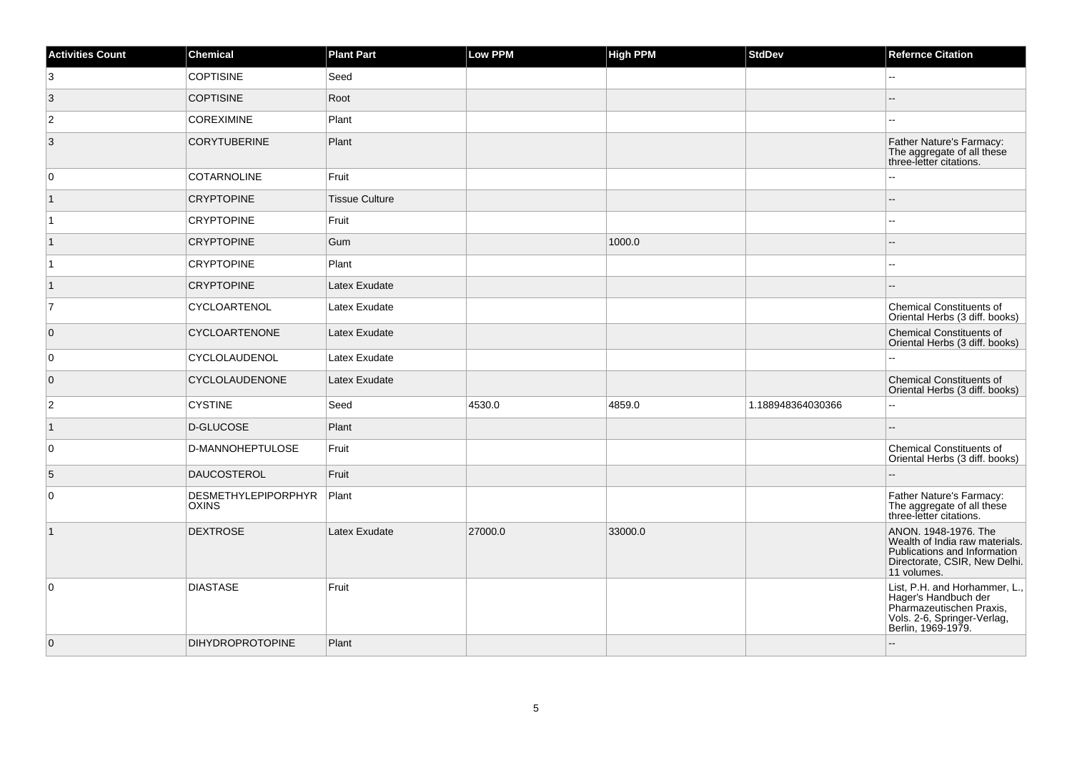| <b>Activities Count</b> | Chemical                                   | <b>Plant Part</b>     | <b>Low PPM</b> | <b>High PPM</b> | <b>StdDev</b>     | <b>Refernce Citation</b>                                                                                                               |
|-------------------------|--------------------------------------------|-----------------------|----------------|-----------------|-------------------|----------------------------------------------------------------------------------------------------------------------------------------|
| 3                       | <b>COPTISINE</b>                           | Seed                  |                |                 |                   |                                                                                                                                        |
| $\vert$ 3               | <b>COPTISINE</b>                           | Root                  |                |                 |                   |                                                                                                                                        |
| $\overline{c}$          | <b>COREXIMINE</b>                          | Plant                 |                |                 |                   |                                                                                                                                        |
| $\overline{3}$          | <b>CORYTUBERINE</b>                        | Plant                 |                |                 |                   | Father Nature's Farmacy:<br>The aggregate of all these<br>three-letter citations.                                                      |
| $\overline{0}$          | <b>COTARNOLINE</b>                         | Fruit                 |                |                 |                   | ц,                                                                                                                                     |
| $\vert$ 1               | <b>CRYPTOPINE</b>                          | <b>Tissue Culture</b> |                |                 |                   |                                                                                                                                        |
| $\vert$ 1               | <b>CRYPTOPINE</b>                          | Fruit                 |                |                 |                   | $\overline{a}$                                                                                                                         |
| $\mathbf{1}$            | <b>CRYPTOPINE</b>                          | Gum                   |                | 1000.0          |                   |                                                                                                                                        |
| $\overline{1}$          | <b>CRYPTOPINE</b>                          | Plant                 |                |                 |                   | $\overline{\phantom{a}}$                                                                                                               |
| $\overline{1}$          | <b>CRYPTOPINE</b>                          | Latex Exudate         |                |                 |                   |                                                                                                                                        |
| $\overline{7}$          | CYCLOARTENOL                               | Latex Exudate         |                |                 |                   | <b>Chemical Constituents of</b><br>Oriental Herbs (3 diff. books)                                                                      |
| $\overline{0}$          | <b>CYCLOARTENONE</b>                       | Latex Exudate         |                |                 |                   | Chemical Constituents of<br>Oriental Herbs (3 diff. books)                                                                             |
| $\overline{0}$          | CYCLOLAUDENOL                              | Latex Exudate         |                |                 |                   |                                                                                                                                        |
| $\overline{0}$          | CYCLOLAUDENONE                             | Latex Exudate         |                |                 |                   | Chemical Constituents of<br>Oriental Herbs (3 diff. books)                                                                             |
| $\overline{2}$          | <b>CYSTINE</b>                             | Seed                  | 4530.0         | 4859.0          | 1.188948364030366 | $\overline{\phantom{a}}$                                                                                                               |
| $\vert$ 1               | D-GLUCOSE                                  | Plant                 |                |                 |                   |                                                                                                                                        |
| 0                       | D-MANNOHEPTULOSE                           | Fruit                 |                |                 |                   | Chemical Constituents of<br>Oriental Herbs (3 diff. books)                                                                             |
| 5                       | <b>DAUCOSTEROL</b>                         | Fruit                 |                |                 |                   |                                                                                                                                        |
| $\overline{0}$          | <b>DESMETHYLEPIPORPHYR</b><br><b>OXINS</b> | Plant                 |                |                 |                   | Father Nature's Farmacy:<br>The aggregate of all these<br>three-letter citations.                                                      |
| $\vert$ 1               | <b>DEXTROSE</b>                            | Latex Exudate         | 27000.0        | 33000.0         |                   | ANON. 1948-1976. The<br>Wealth of India raw materials.<br>Publications and Information<br>Directorate, CSIR, New Delhi.<br>11 volumes. |
| $\overline{0}$          | <b>DIASTASE</b>                            | Fruit                 |                |                 |                   | List, P.H. and Horhammer, L.,<br>Hager's Handbuch der<br>Pharmazeutischen Praxis,<br>Vols. 2-6, Springer-Verlag,<br>Berlin, 1969-1979. |
| $\overline{0}$          | <b>DIHYDROPROTOPINE</b>                    | Plant                 |                |                 |                   |                                                                                                                                        |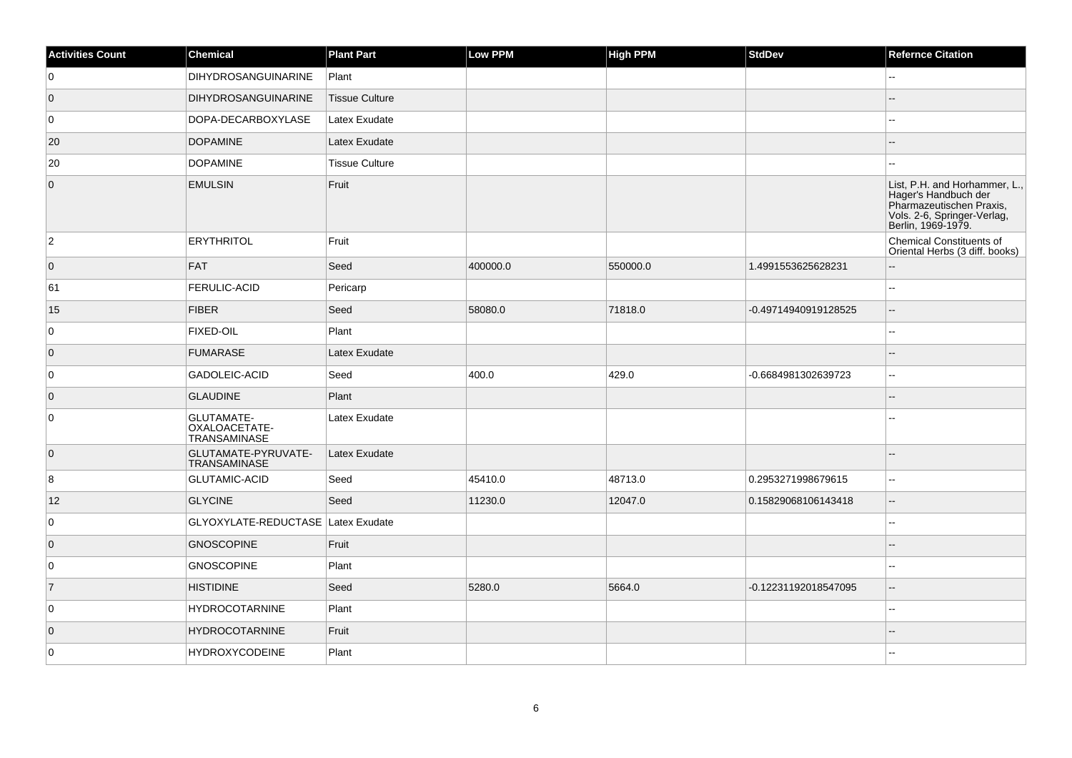| <b>Activities Count</b> | <b>Chemical</b>                                           | <b>Plant Part</b>     | Low PPM  | <b>High PPM</b> | <b>StdDev</b>        | <b>Refernce Citation</b>                                                                                                               |
|-------------------------|-----------------------------------------------------------|-----------------------|----------|-----------------|----------------------|----------------------------------------------------------------------------------------------------------------------------------------|
| 0                       | <b>DIHYDROSANGUINARINE</b>                                | Plant                 |          |                 |                      | --                                                                                                                                     |
| $\overline{0}$          | <b>DIHYDROSANGUINARINE</b>                                | <b>Tissue Culture</b> |          |                 |                      |                                                                                                                                        |
| 0                       | DOPA-DECARBOXYLASE                                        | Latex Exudate         |          |                 |                      | ц,                                                                                                                                     |
| 20                      | <b>DOPAMINE</b>                                           | Latex Exudate         |          |                 |                      |                                                                                                                                        |
| 20                      | <b>DOPAMINE</b>                                           | <b>Tissue Culture</b> |          |                 |                      |                                                                                                                                        |
| $\overline{0}$          | <b>EMULSIN</b>                                            | Fruit                 |          |                 |                      | List, P.H. and Horhammer, L.,<br>Hager's Handbuch der<br>Pharmazeutischen Praxis,<br>Vols. 2-6, Springer-Verlag,<br>Berlin, 1969-1979. |
| $\overline{2}$          | <b>ERYTHRITOL</b>                                         | Fruit                 |          |                 |                      | <b>Chemical Constituents of</b><br>Oriental Herbs (3 diff. books)                                                                      |
| $\overline{0}$          | <b>FAT</b>                                                | Seed                  | 400000.0 | 550000.0        | 1.4991553625628231   | $-$                                                                                                                                    |
| 61                      | <b>FERULIC-ACID</b>                                       | Pericarp              |          |                 |                      | ۵.                                                                                                                                     |
| 15                      | <b>FIBER</b>                                              | Seed                  | 58080.0  | 71818.0         | -0.49714940919128525 | $-$                                                                                                                                    |
| 0                       | <b>FIXED-OIL</b>                                          | Plant                 |          |                 |                      | Ξ.                                                                                                                                     |
| $\overline{0}$          | <b>FUMARASE</b>                                           | Latex Exudate         |          |                 |                      |                                                                                                                                        |
| 0                       | GADOLEIC-ACID                                             | Seed                  | 400.0    | 429.0           | -0.6684981302639723  | $-1$                                                                                                                                   |
| $\overline{0}$          | <b>GLAUDINE</b>                                           | Plant                 |          |                 |                      |                                                                                                                                        |
| 0                       | <b>GLUTAMATE-</b><br>OXALOACETATE-<br><b>TRANSAMINASE</b> | Latex Exudate         |          |                 |                      |                                                                                                                                        |
| $\overline{0}$          | GLUTAMATE-PYRUVATE-<br><b>TRANSAMINASE</b>                | Latex Exudate         |          |                 |                      |                                                                                                                                        |
| 8                       | <b>GLUTAMIC-ACID</b>                                      | Seed                  | 45410.0  | 48713.0         | 0.2953271998679615   | шш.                                                                                                                                    |
| 12                      | <b>GLYCINE</b>                                            | Seed                  | 11230.0  | 12047.0         | 0.15829068106143418  | ш,                                                                                                                                     |
| $\overline{0}$          | GLYOXYLATE-REDUCTASE Latex Exudate                        |                       |          |                 |                      | L.                                                                                                                                     |
| $\overline{0}$          | <b>GNOSCOPINE</b>                                         | Fruit                 |          |                 |                      |                                                                                                                                        |
| 0                       | <b>GNOSCOPINE</b>                                         | Plant                 |          |                 |                      |                                                                                                                                        |
| $\overline{7}$          | <b>HISTIDINE</b>                                          | Seed                  | 5280.0   | 5664.0          | -0.12231192018547095 | $-$                                                                                                                                    |
| 0                       | <b>HYDROCOTARNINE</b>                                     | Plant                 |          |                 |                      |                                                                                                                                        |
| $\overline{0}$          | <b>HYDROCOTARNINE</b>                                     | Fruit                 |          |                 |                      |                                                                                                                                        |
| $\overline{0}$          | <b>HYDROXYCODEINE</b>                                     | Plant                 |          |                 |                      |                                                                                                                                        |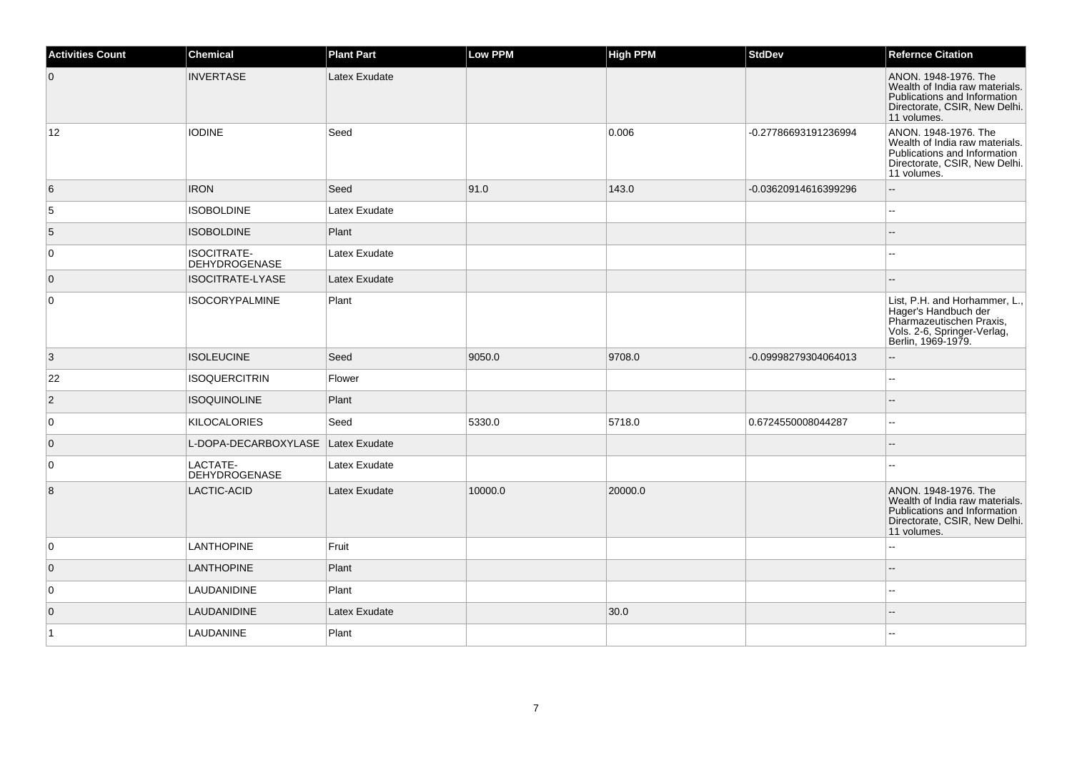| $\overline{0}$<br><b>INVERTASE</b><br>Latex Exudate                        | ANON. 1948-1976. The<br>Wealth of India raw materials.<br>Publications and Information                                                 |
|----------------------------------------------------------------------------|----------------------------------------------------------------------------------------------------------------------------------------|
|                                                                            | Directorate, CSIR, New Delhi.<br>11 volumes.                                                                                           |
| 12<br><b>IODINE</b><br>Seed<br>-0.27786693191236994<br>0.006               | ANON. 1948-1976. The<br>Wealth of India raw materials.<br>Publications and Information<br>Directorate, CSIR, New Delhi.<br>11 volumes. |
| 6<br><b>IRON</b><br>Seed<br>91.0<br>143.0<br>-0.03620914616399296          | $\overline{\phantom{a}}$                                                                                                               |
| 5<br><b>ISOBOLDINE</b><br>Latex Exudate                                    |                                                                                                                                        |
| 5<br><b>ISOBOLDINE</b><br>Plant                                            |                                                                                                                                        |
| 0<br><b>ISOCITRATE-</b><br>Latex Exudate<br><b>DEHYDROGENASE</b>           |                                                                                                                                        |
| <b>ISOCITRATE-LYASE</b><br>$\overline{0}$<br>Latex Exudate                 |                                                                                                                                        |
| $\mathbf 0$<br>Plant<br><b>ISOCORYPALMINE</b>                              | List, P.H. and Horhammer, L.,<br>Hager's Handbuch der<br>Pharmazeutischen Praxis,<br>Vols. 2-6, Springer-Verlag,<br>Berlin, 1969-1979. |
| 3<br><b>ISOLEUCINE</b><br>Seed<br>9050.0<br>9708.0<br>-0.09998279304064013 |                                                                                                                                        |
| 22<br><b>ISOQUERCITRIN</b><br>Flower                                       | $\overline{\phantom{a}}$                                                                                                               |
| $\overline{c}$<br><b>ISOQUINOLINE</b><br>Plant                             |                                                                                                                                        |
| 0<br>Seed<br>5330.0<br><b>KILOCALORIES</b><br>5718.0<br>0.6724550008044287 | $\overline{\phantom{a}}$                                                                                                               |
| L-DOPA-DECARBOXYLASE<br>$\overline{0}$<br>Latex Exudate                    |                                                                                                                                        |
| $\mathbf 0$<br>LACTATE-<br>Latex Exudate<br><b>DEHYDROGENASE</b>           | $\sim$                                                                                                                                 |
| 8<br>LACTIC-ACID<br>10000.0<br>Latex Exudate<br>20000.0                    | ANON. 1948-1976. The<br>Wealth of India raw materials.<br>Publications and Information<br>Directorate, CSIR, New Delhi.<br>11 volumes. |
| 0<br><b>LANTHOPINE</b><br>Fruit                                            | ۵.                                                                                                                                     |
| $\overline{0}$<br><b>LANTHOPINE</b><br>Plant                               |                                                                                                                                        |
| 0<br>LAUDANIDINE<br>Plant                                                  | $\sim$                                                                                                                                 |
| 30.0<br>$\mathbf 0$<br>LAUDANIDINE<br>Latex Exudate                        |                                                                                                                                        |
| Plant<br>$\vert$ 1<br>LAUDANINE                                            |                                                                                                                                        |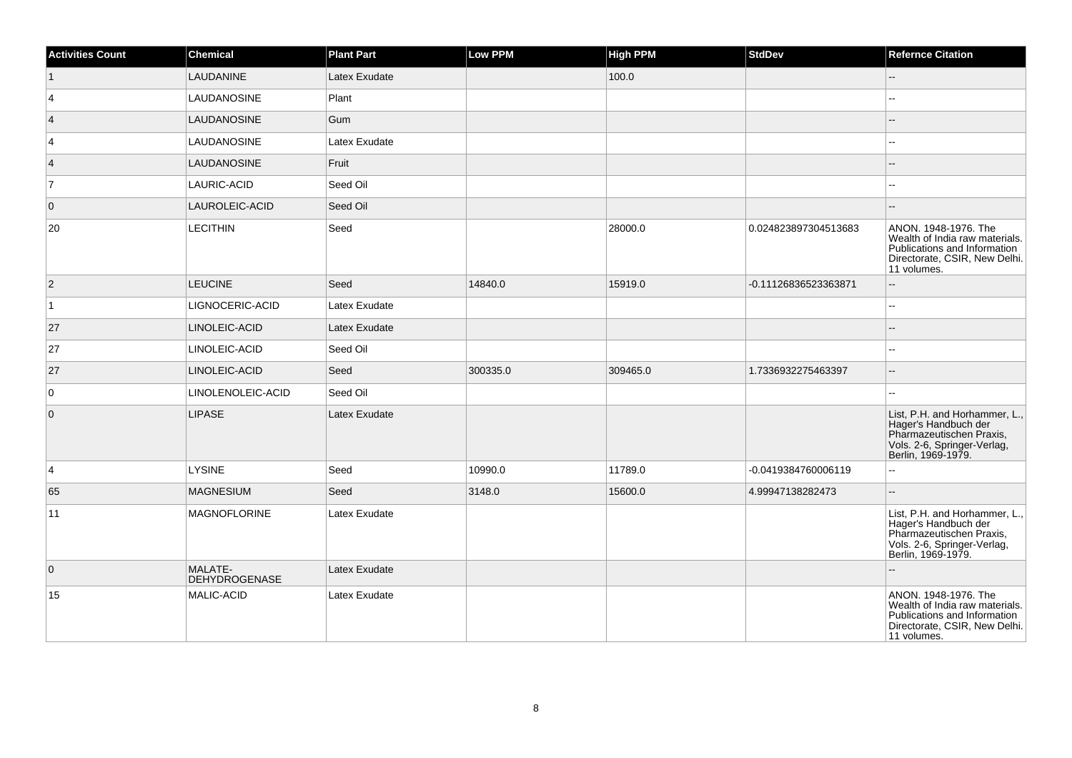| <b>Activities Count</b> | <b>Chemical</b>                 | <b>Plant Part</b> | Low PPM  | <b>High PPM</b> | <b>StdDev</b>        | <b>Refernce Citation</b>                                                                                                               |
|-------------------------|---------------------------------|-------------------|----------|-----------------|----------------------|----------------------------------------------------------------------------------------------------------------------------------------|
|                         | LAUDANINE                       | Latex Exudate     |          | 100.0           |                      | $\mathbf{u}$                                                                                                                           |
| 4                       | <b>LAUDANOSINE</b>              | Plant             |          |                 |                      |                                                                                                                                        |
| $\vert$ 4               | <b>LAUDANOSINE</b>              | Gum               |          |                 |                      |                                                                                                                                        |
| 4                       | LAUDANOSINE                     | Latex Exudate     |          |                 |                      | 44                                                                                                                                     |
| $\vert$ 4               | LAUDANOSINE                     | Fruit             |          |                 |                      |                                                                                                                                        |
| $\overline{7}$          | LAURIC-ACID                     | Seed Oil          |          |                 |                      |                                                                                                                                        |
| $\overline{0}$          | LAUROLEIC-ACID                  | Seed Oil          |          |                 |                      | $-$                                                                                                                                    |
| 20                      | <b>LECITHIN</b>                 | Seed              |          | 28000.0         | 0.024823897304513683 | ANON. 1948-1976. The<br>Wealth of India raw materials.<br>Publications and Information<br>Directorate, CSIR, New Delhi.<br>11 volumes. |
| $ 2\rangle$             | <b>LEUCINE</b>                  | Seed              | 14840.0  | 15919.0         | -0.11126836523363871 | Щ.                                                                                                                                     |
| $\overline{1}$          | LIGNOCERIC-ACID                 | Latex Exudate     |          |                 |                      | --                                                                                                                                     |
| 27                      | LINOLEIC-ACID                   | Latex Exudate     |          |                 |                      |                                                                                                                                        |
| 27                      | LINOLEIC-ACID                   | Seed Oil          |          |                 |                      |                                                                                                                                        |
| 27                      | LINOLEIC-ACID                   | Seed              | 300335.0 | 309465.0        | 1.7336932275463397   | --                                                                                                                                     |
| $\overline{0}$          | LINOLENOLEIC-ACID               | Seed Oil          |          |                 |                      |                                                                                                                                        |
| $\overline{0}$          | <b>LIPASE</b>                   | Latex Exudate     |          |                 |                      | List, P.H. and Horhammer, L.,<br>Hager's Handbuch der<br>Pharmazeutischen Praxis,<br>Vols. 2-6, Springer-Verlag,<br>Berlin, 1969-1979. |
| $\vert 4 \vert$         | <b>LYSINE</b>                   | Seed              | 10990.0  | 11789.0         | -0.0419384760006119  | ۵.                                                                                                                                     |
| 65                      | <b>MAGNESIUM</b>                | Seed              | 3148.0   | 15600.0         | 4.99947138282473     | --                                                                                                                                     |
| 11                      | <b>MAGNOFLORINE</b>             | Latex Exudate     |          |                 |                      | List, P.H. and Horhammer, L.,<br>Hager's Handbuch der<br>Pharmazeutischen Praxis,<br>Vols. 2-6, Springer-Verlag,<br>Berlin, 1969-1979. |
| $\overline{0}$          | MALATE-<br><b>DEHYDROGENASE</b> | Latex Exudate     |          |                 |                      |                                                                                                                                        |
| 15                      | MALIC-ACID                      | Latex Exudate     |          |                 |                      | ANON. 1948-1976. The<br>Wealth of India raw materials.<br>Publications and Information<br>Directorate, CSIR, New Delhi.<br>11 volumes. |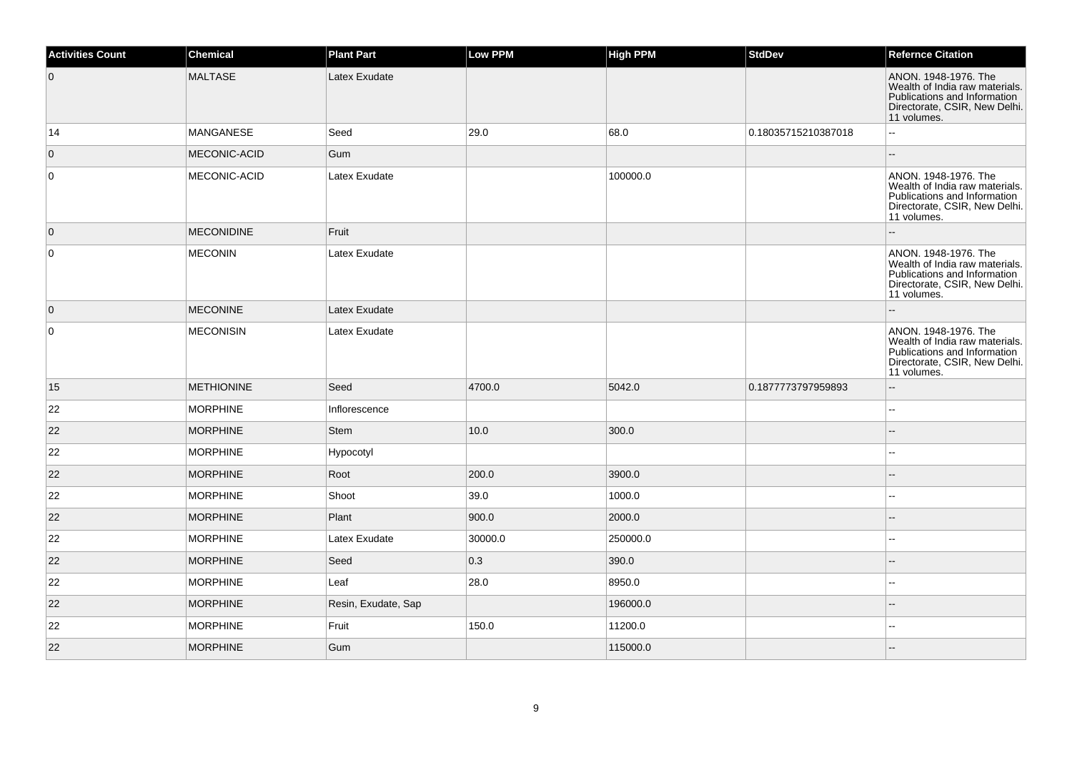| <b>Activities Count</b> | Chemical          | <b>Plant Part</b>   | <b>Low PPM</b> | <b>High PPM</b> | <b>StdDev</b>       | <b>Refernce Citation</b>                                                                                                               |
|-------------------------|-------------------|---------------------|----------------|-----------------|---------------------|----------------------------------------------------------------------------------------------------------------------------------------|
| $\overline{0}$          | <b>MALTASE</b>    | Latex Exudate       |                |                 |                     | ANON. 1948-1976. The<br>Wealth of India raw materials.<br>Publications and Information<br>Directorate, CSIR, New Delhi.<br>11 volumes. |
| 14                      | MANGANESE         | Seed                | 29.0           | 68.0            | 0.18035715210387018 | $\overline{\phantom{a}}$                                                                                                               |
| $\mathbf{0}$            | MECONIC-ACID      | Gum                 |                |                 |                     |                                                                                                                                        |
| 0                       | MECONIC-ACID      | Latex Exudate       |                | 100000.0        |                     | ANON. 1948-1976. The<br>Wealth of India raw materials.<br>Publications and Information<br>Directorate, CSIR, New Delhi.<br>11 volumes. |
| $\overline{0}$          | <b>MECONIDINE</b> | Fruit               |                |                 |                     |                                                                                                                                        |
| $\mathbf 0$             | <b>MECONIN</b>    | Latex Exudate       |                |                 |                     | ANON. 1948-1976. The<br>Wealth of India raw materials.<br>Publications and Information<br>Directorate, CSIR, New Delhi.<br>11 volumes. |
| $\overline{0}$          | <b>MECONINE</b>   | Latex Exudate       |                |                 |                     |                                                                                                                                        |
| 0                       | <b>MECONISIN</b>  | Latex Exudate       |                |                 |                     | ANON. 1948-1976. The<br>Wealth of India raw materials.<br>Publications and Information<br>Directorate, CSIR, New Delhi.<br>11 volumes. |
| 15                      | <b>METHIONINE</b> | Seed                | 4700.0         | 5042.0          | 0.1877773797959893  |                                                                                                                                        |
| 22                      | <b>MORPHINE</b>   | Inflorescence       |                |                 |                     | $\overline{\phantom{a}}$                                                                                                               |
| 22                      | <b>MORPHINE</b>   | <b>Stem</b>         | 10.0           | 300.0           |                     |                                                                                                                                        |
| 22                      | <b>MORPHINE</b>   | Hypocotyl           |                |                 |                     | $\sim$                                                                                                                                 |
| 22                      | <b>MORPHINE</b>   | Root                | 200.0          | 3900.0          |                     |                                                                                                                                        |
| 22                      | <b>MORPHINE</b>   | Shoot               | 39.0           | 1000.0          |                     |                                                                                                                                        |
| 22                      | <b>MORPHINE</b>   | Plant               | 900.0          | 2000.0          |                     |                                                                                                                                        |
| 22                      | <b>MORPHINE</b>   | Latex Exudate       | 30000.0        | 250000.0        |                     |                                                                                                                                        |
| 22                      | <b>MORPHINE</b>   | Seed                | 0.3            | 390.0           |                     |                                                                                                                                        |
| 22                      | <b>MORPHINE</b>   | Leaf                | 28.0           | 8950.0          |                     | ۵.                                                                                                                                     |
| 22                      | <b>MORPHINE</b>   | Resin, Exudate, Sap |                | 196000.0        |                     |                                                                                                                                        |
| 22                      | <b>MORPHINE</b>   | Fruit               | 150.0          | 11200.0         |                     |                                                                                                                                        |
| 22                      | <b>MORPHINE</b>   | Gum                 |                | 115000.0        |                     |                                                                                                                                        |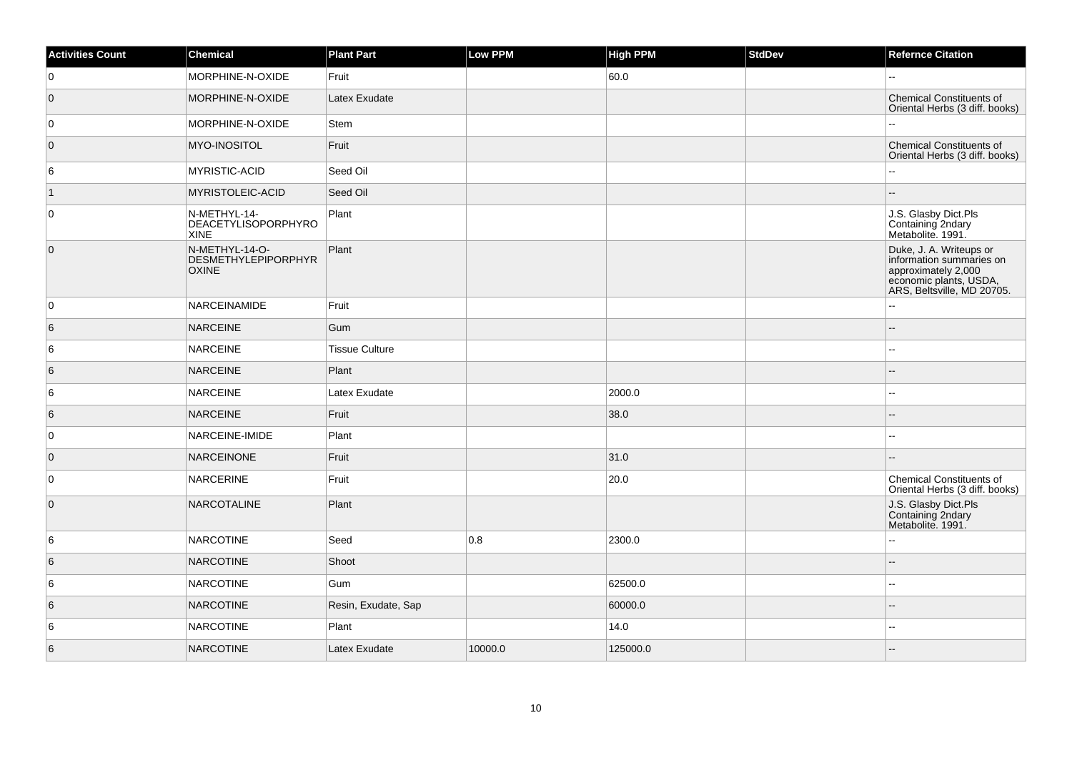| <b>Activities Count</b> | <b>Chemical</b>                                              | <b>Plant Part</b>     | Low PPM | <b>High PPM</b> | StdDev | <b>Refernce Citation</b>                                                                                                           |
|-------------------------|--------------------------------------------------------------|-----------------------|---------|-----------------|--------|------------------------------------------------------------------------------------------------------------------------------------|
| 0                       | MORPHINE-N-OXIDE                                             | Fruit                 |         | 60.0            |        |                                                                                                                                    |
| $\overline{0}$          | MORPHINE-N-OXIDE                                             | Latex Exudate         |         |                 |        | <b>Chemical Constituents of</b><br>Oriental Herbs (3 diff. books)                                                                  |
| 0                       | MORPHINE-N-OXIDE                                             | <b>Stem</b>           |         |                 |        |                                                                                                                                    |
| $\overline{0}$          | MYO-INOSITOL                                                 | Fruit                 |         |                 |        | <b>Chemical Constituents of</b><br>Oriental Herbs (3 diff. books)                                                                  |
| 6                       | MYRISTIC-ACID                                                | Seed Oil              |         |                 |        |                                                                                                                                    |
| $\vert$ 1               | MYRISTOLEIC-ACID                                             | Seed Oil              |         |                 |        | --                                                                                                                                 |
| $\overline{0}$          | N-METHYL-14-<br>DEACETYLISOPORPHYRO<br><b>XINE</b>           | Plant                 |         |                 |        | J.S. Glasby Dict.Pls<br>Containing 2ndary<br>Metabolite. 1991.                                                                     |
| $\overline{0}$          | N-METHYL-14-O-<br><b>DESMETHYLEPIPORPHYR</b><br><b>OXINE</b> | Plant                 |         |                 |        | Duke, J. A. Writeups or<br>information summaries on<br>approximately 2,000<br>economic plants, USDA,<br>ARS, Beltsville, MD 20705. |
| 0                       | <b>NARCEINAMIDE</b>                                          | Fruit                 |         |                 |        |                                                                                                                                    |
| 6                       | NARCEINE                                                     | Gum                   |         |                 |        |                                                                                                                                    |
| 6                       | <b>NARCEINE</b>                                              | <b>Tissue Culture</b> |         |                 |        | --                                                                                                                                 |
| 6                       | NARCEINE                                                     | Plant                 |         |                 |        |                                                                                                                                    |
| 6                       | <b>NARCEINE</b>                                              | Latex Exudate         |         | 2000.0          |        | $-1$                                                                                                                               |
| 6                       | NARCEINE                                                     | Fruit                 |         | 38.0            |        |                                                                                                                                    |
| $\overline{0}$          | NARCEINE-IMIDE                                               | Plant                 |         |                 |        | $\overline{a}$                                                                                                                     |
| $\overline{0}$          | NARCEINONE                                                   | Fruit                 |         | 31.0            |        | --                                                                                                                                 |
| $\overline{0}$          | <b>NARCERINE</b>                                             | Fruit                 |         | 20.0            |        | <b>Chemical Constituents of</b><br>Oriental Herbs (3 diff. books)                                                                  |
| $\overline{0}$          | <b>NARCOTALINE</b>                                           | Plant                 |         |                 |        | J.S. Glasby Dict.Pls<br>Containing 2ndary<br>Metabolite. 1991.                                                                     |
| 6                       | <b>NARCOTINE</b>                                             | Seed                  | 0.8     | 2300.0          |        | Щ,                                                                                                                                 |
| 6                       | <b>NARCOTINE</b>                                             | Shoot                 |         |                 |        |                                                                                                                                    |
| 6                       | NARCOTINE                                                    | Gum                   |         | 62500.0         |        | --                                                                                                                                 |
| 6                       | <b>NARCOTINE</b>                                             | Resin, Exudate, Sap   |         | 60000.0         |        | --                                                                                                                                 |
| 6                       | NARCOTINE                                                    | Plant                 |         | 14.0            |        | --                                                                                                                                 |
| 6                       | <b>NARCOTINE</b>                                             | Latex Exudate         | 10000.0 | 125000.0        |        |                                                                                                                                    |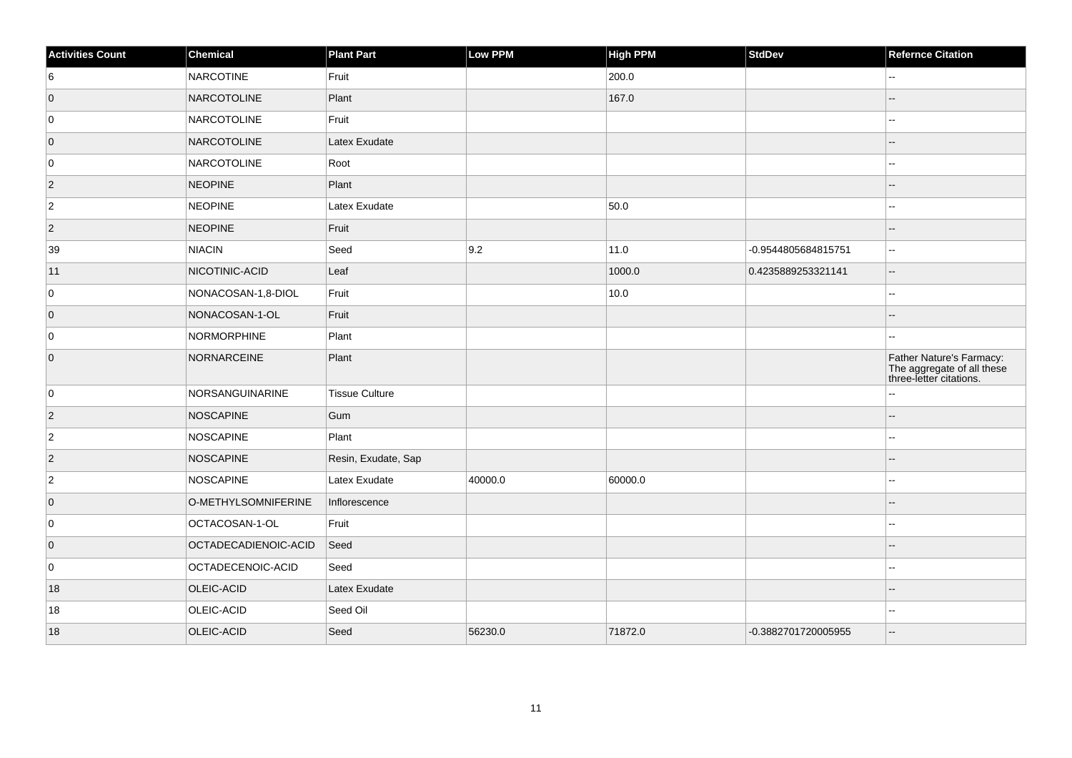| <b>Activities Count</b> | Chemical             | <b>Plant Part</b>     | Low PPM | <b>High PPM</b> | StdDev              | <b>Refernce Citation</b>                                                          |
|-------------------------|----------------------|-----------------------|---------|-----------------|---------------------|-----------------------------------------------------------------------------------|
| 6                       | <b>NARCOTINE</b>     | Fruit                 |         | 200.0           |                     | $\overline{\phantom{a}}$                                                          |
| $\overline{0}$          | NARCOTOLINE          | Plant                 |         | 167.0           |                     |                                                                                   |
| 0                       | NARCOTOLINE          | Fruit                 |         |                 |                     | --                                                                                |
| $\overline{0}$          | NARCOTOLINE          | Latex Exudate         |         |                 |                     | --                                                                                |
| 0                       | NARCOTOLINE          | Root                  |         |                 |                     |                                                                                   |
| $\vert$ 2               | <b>NEOPINE</b>       | Plant                 |         |                 |                     |                                                                                   |
| $\overline{2}$          | <b>NEOPINE</b>       | Latex Exudate         |         | 50.0            |                     | --                                                                                |
| $\vert$ 2               | <b>NEOPINE</b>       | Fruit                 |         |                 |                     |                                                                                   |
| 39                      | NIACIN               | Seed                  | 9.2     | 11.0            | -0.9544805684815751 | $\overline{\phantom{a}}$                                                          |
| 11                      | NICOTINIC-ACID       | Leaf                  |         | 1000.0          | 0.4235889253321141  | $\overline{\phantom{a}}$                                                          |
| 0                       | NONACOSAN-1,8-DIOL   | Fruit                 |         | 10.0            |                     | шш.                                                                               |
| $\overline{0}$          | NONACOSAN-1-OL       | Fruit                 |         |                 |                     |                                                                                   |
| $\overline{0}$          | NORMORPHINE          | Plant                 |         |                 |                     | --                                                                                |
| $\overline{0}$          | NORNARCEINE          | Plant                 |         |                 |                     | Father Nature's Farmacy:<br>The aggregate of all these<br>three-letter citations. |
| 0                       | NORSANGUINARINE      | <b>Tissue Culture</b> |         |                 |                     | Ξ.                                                                                |
| $\overline{2}$          | NOSCAPINE            | Gum                   |         |                 |                     | --                                                                                |
| $\overline{2}$          | <b>NOSCAPINE</b>     | Plant                 |         |                 |                     | ۵.                                                                                |
| $\vert$ 2               | NOSCAPINE            | Resin, Exudate, Sap   |         |                 |                     |                                                                                   |
| $\overline{2}$          | NOSCAPINE            | Latex Exudate         | 40000.0 | 60000.0         |                     | --                                                                                |
| $\overline{0}$          | O-METHYLSOMNIFERINE  | Inflorescence         |         |                 |                     |                                                                                   |
| 0                       | OCTACOSAN-1-OL       | Fruit                 |         |                 |                     |                                                                                   |
| $\overline{0}$          | OCTADECADIENOIC-ACID | Seed                  |         |                 |                     |                                                                                   |
| 0                       | OCTADECENOIC-ACID    | Seed                  |         |                 |                     |                                                                                   |
| 18                      | OLEIC-ACID           | Latex Exudate         |         |                 |                     |                                                                                   |
| 18                      | OLEIC-ACID           | Seed Oil              |         |                 |                     |                                                                                   |
| 18                      | OLEIC-ACID           | Seed                  | 56230.0 | 71872.0         | -0.3882701720005955 | --                                                                                |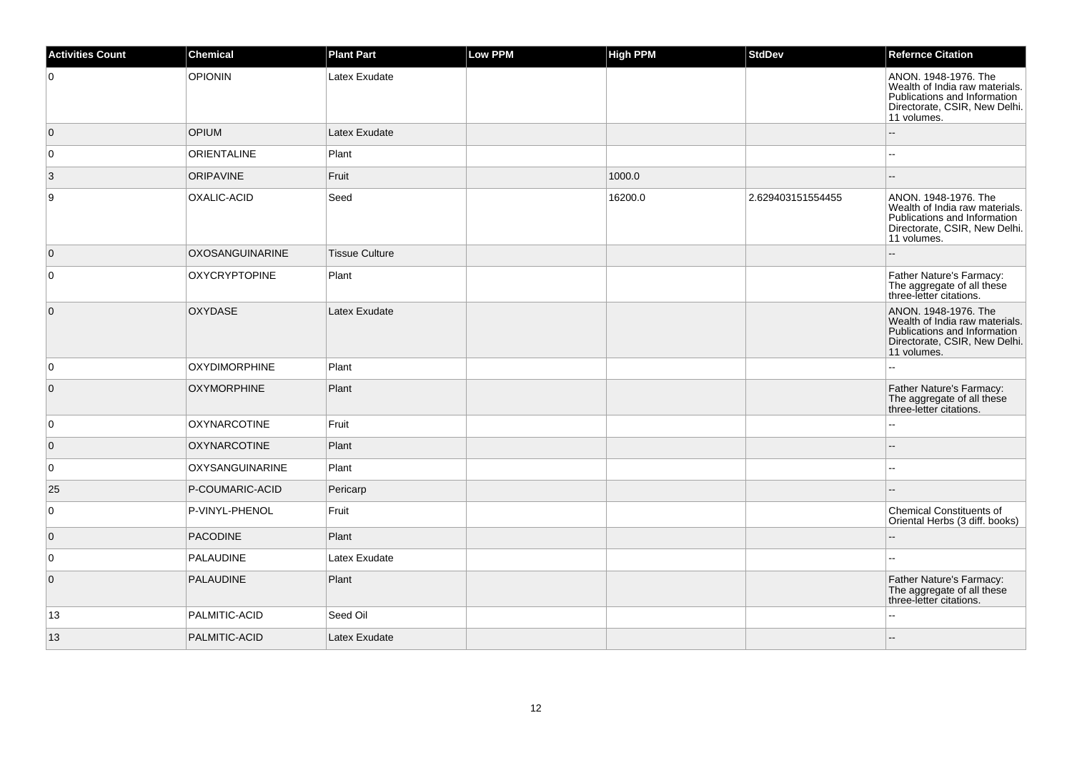| <b>Activities Count</b> | Chemical               | <b>Plant Part</b>     | <b>Low PPM</b> | <b>High PPM</b> | <b>StdDev</b>     | <b>Refernce Citation</b>                                                                                                               |
|-------------------------|------------------------|-----------------------|----------------|-----------------|-------------------|----------------------------------------------------------------------------------------------------------------------------------------|
| $\mathbf 0$             | <b>OPIONIN</b>         | Latex Exudate         |                |                 |                   | ANON. 1948-1976. The<br>Wealth of India raw materials.<br>Publications and Information<br>Directorate, CSIR, New Delhi.<br>11 volumes. |
| $\overline{0}$          | <b>OPIUM</b>           | Latex Exudate         |                |                 |                   |                                                                                                                                        |
| 0                       | <b>ORIENTALINE</b>     | Plant                 |                |                 |                   | $\overline{a}$                                                                                                                         |
| $\vert 3 \vert$         | <b>ORIPAVINE</b>       | Fruit                 |                | 1000.0          |                   |                                                                                                                                        |
| 9                       | OXALIC-ACID            | Seed                  |                | 16200.0         | 2.629403151554455 | ANON. 1948-1976. The<br>Wealth of India raw materials.<br>Publications and Information<br>Directorate, CSIR, New Delhi.<br>11 volumes. |
| $\overline{0}$          | <b>OXOSANGUINARINE</b> | <b>Tissue Culture</b> |                |                 |                   |                                                                                                                                        |
| 0                       | <b>OXYCRYPTOPINE</b>   | Plant                 |                |                 |                   | Father Nature's Farmacy:<br>The aggregate of all these<br>three-letter citations.                                                      |
| $\overline{0}$          | <b>OXYDASE</b>         | Latex Exudate         |                |                 |                   | ANON. 1948-1976. The<br>Wealth of India raw materials.<br>Publications and Information<br>Directorate, CSIR, New Delhi.<br>11 volumes. |
| $\mathbf 0$             | <b>OXYDIMORPHINE</b>   | Plant                 |                |                 |                   |                                                                                                                                        |
| $\mathbf 0$             | <b>OXYMORPHINE</b>     | Plant                 |                |                 |                   | Father Nature's Farmacy:<br>The aggregate of all these<br>three-letter citations.                                                      |
| 0                       | <b>OXYNARCOTINE</b>    | Fruit                 |                |                 |                   |                                                                                                                                        |
| $\mathbf 0$             | <b>OXYNARCOTINE</b>    | Plant                 |                |                 |                   |                                                                                                                                        |
| $\mathsf 0$             | <b>OXYSANGUINARINE</b> | Plant                 |                |                 |                   | $\sim$                                                                                                                                 |
| 25                      | P-COUMARIC-ACID        | Pericarp              |                |                 |                   |                                                                                                                                        |
| 0                       | P-VINYL-PHENOL         | Fruit                 |                |                 |                   | <b>Chemical Constituents of</b><br>Oriental Herbs (3 diff. books)                                                                      |
| $\mathbf 0$             | <b>PACODINE</b>        | Plant                 |                |                 |                   |                                                                                                                                        |
| 0                       | PALAUDINE              | Latex Exudate         |                |                 |                   |                                                                                                                                        |
| $\overline{0}$          | <b>PALAUDINE</b>       | Plant                 |                |                 |                   | Father Nature's Farmacy:<br>The aggregate of all these<br>three-letter citations.                                                      |
| 13                      | PALMITIC-ACID          | Seed Oil              |                |                 |                   |                                                                                                                                        |
| 13                      | PALMITIC-ACID          | Latex Exudate         |                |                 |                   | --                                                                                                                                     |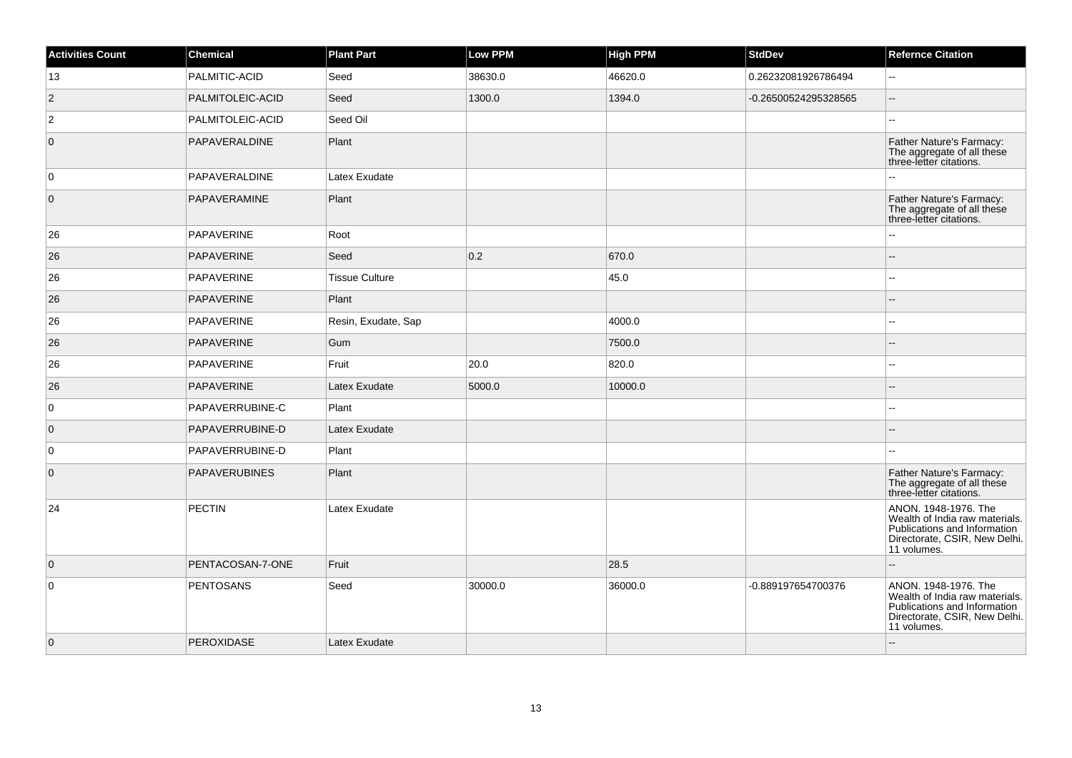| <b>Activities Count</b> | Chemical             | <b>Plant Part</b>     | Low PPM | <b>High PPM</b> | <b>StdDev</b>        | <b>Refernce Citation</b>                                                                                                               |
|-------------------------|----------------------|-----------------------|---------|-----------------|----------------------|----------------------------------------------------------------------------------------------------------------------------------------|
| 13                      | PALMITIC-ACID        | Seed                  | 38630.0 | 46620.0         | 0.26232081926786494  | L.                                                                                                                                     |
| $ 2\rangle$             | PALMITOLEIC-ACID     | Seed                  | 1300.0  | 1394.0          | -0.26500524295328565 | $\overline{a}$                                                                                                                         |
| $\vert$ 2               | PALMITOLEIC-ACID     | Seed Oil              |         |                 |                      | --                                                                                                                                     |
| $\overline{0}$          | PAPAVERALDINE        | Plant                 |         |                 |                      | Father Nature's Farmacy:<br>The aggregate of all these<br>three-letter citations.                                                      |
| $\overline{0}$          | PAPAVERALDINE        | Latex Exudate         |         |                 |                      |                                                                                                                                        |
| $\overline{0}$          | PAPAVERAMINE         | Plant                 |         |                 |                      | Father Nature's Farmacy:<br>The aggregate of all these<br>three-letter citations.                                                      |
| 26                      | <b>PAPAVERINE</b>    | Root                  |         |                 |                      |                                                                                                                                        |
| 26                      | PAPAVERINE           | Seed                  | 0.2     | 670.0           |                      | ÷.                                                                                                                                     |
| 26                      | PAPAVERINE           | <b>Tissue Culture</b> |         | 45.0            |                      |                                                                                                                                        |
| 26                      | <b>PAPAVERINE</b>    | Plant                 |         |                 |                      |                                                                                                                                        |
| 26                      | PAPAVERINE           | Resin, Exudate, Sap   |         | 4000.0          |                      |                                                                                                                                        |
| 26                      | PAPAVERINE           | Gum                   |         | 7500.0          |                      |                                                                                                                                        |
| 26                      | PAPAVERINE           | Fruit                 | 20.0    | 820.0           |                      |                                                                                                                                        |
| 26                      | PAPAVERINE           | Latex Exudate         | 5000.0  | 10000.0         |                      |                                                                                                                                        |
| $\overline{0}$          | PAPAVERRUBINE-C      | Plant                 |         |                 |                      |                                                                                                                                        |
| $\overline{0}$          | PAPAVERRUBINE-D      | Latex Exudate         |         |                 |                      |                                                                                                                                        |
| 0                       | PAPAVERRUBINE-D      | Plant                 |         |                 |                      |                                                                                                                                        |
| $\overline{0}$          | <b>PAPAVERUBINES</b> | Plant                 |         |                 |                      | Father Nature's Farmacy:<br>The aggregate of all these<br>three-letter citations.                                                      |
| 24                      | <b>PECTIN</b>        | Latex Exudate         |         |                 |                      | ANON. 1948-1976. The<br>Wealth of India raw materials.<br>Publications and Information<br>Directorate, CSIR, New Delhi.<br>11 volumes. |
| $\overline{0}$          | PENTACOSAN-7-ONE     | Fruit                 |         | 28.5            |                      | $\overline{a}$                                                                                                                         |
| $\overline{0}$          | <b>PENTOSANS</b>     | Seed                  | 30000.0 | 36000.0         | -0.889197654700376   | ANON. 1948-1976. The<br>Wealth of India raw materials.<br>Publications and Information<br>Directorate, CSIR, New Delhi.<br>11 volumes. |
| $\overline{0}$          | <b>PEROXIDASE</b>    | Latex Exudate         |         |                 |                      |                                                                                                                                        |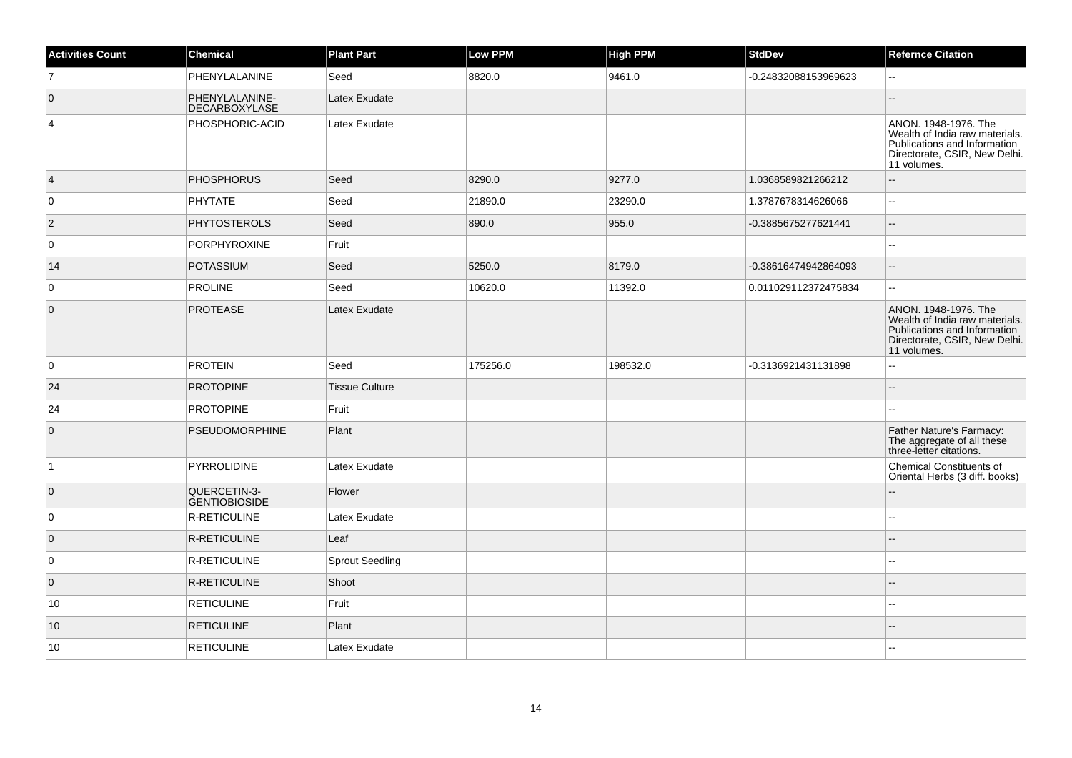| <b>Activities Count</b> | Chemical                               | <b>Plant Part</b>      | Low PPM  | <b>High PPM</b> | <b>StdDev</b>        | <b>Refernce Citation</b>                                                                                                               |
|-------------------------|----------------------------------------|------------------------|----------|-----------------|----------------------|----------------------------------------------------------------------------------------------------------------------------------------|
| $\overline{7}$          | PHENYLALANINE                          | Seed                   | 8820.0   | 9461.0          | -0.24832088153969623 |                                                                                                                                        |
| $\overline{0}$          | PHENYLALANINE-<br><b>DECARBOXYLASE</b> | Latex Exudate          |          |                 |                      |                                                                                                                                        |
| 4                       | PHOSPHORIC-ACID                        | Latex Exudate          |          |                 |                      | ANON, 1948-1976. The<br>Wealth of India raw materials.<br>Publications and Information<br>Directorate, CSIR, New Delhi.<br>11 volumes. |
| $\overline{4}$          | <b>PHOSPHORUS</b>                      | Seed                   | 8290.0   | 9277.0          | 1.0368589821266212   |                                                                                                                                        |
| 0                       | <b>PHYTATE</b>                         | Seed                   | 21890.0  | 23290.0         | 1.3787678314626066   | $\sim$                                                                                                                                 |
| $\vert$ 2               | <b>PHYTOSTEROLS</b>                    | Seed                   | 890.0    | 955.0           | -0.3885675277621441  |                                                                                                                                        |
| 0                       | <b>PORPHYROXINE</b>                    | Fruit                  |          |                 |                      | $\sim$                                                                                                                                 |
| 14                      | <b>POTASSIUM</b>                       | Seed                   | 5250.0   | 8179.0          | -0.38616474942864093 | $\sim$                                                                                                                                 |
| 0                       | <b>PROLINE</b>                         | Seed                   | 10620.0  | 11392.0         | 0.011029112372475834 | $\overline{\phantom{a}}$                                                                                                               |
| $\mathbf 0$             | <b>PROTEASE</b>                        | Latex Exudate          |          |                 |                      | ANON. 1948-1976. The<br>Wealth of India raw materials.<br>Publications and Information<br>Directorate, CSIR, New Delhi.<br>11 volumes. |
| $\mathbf 0$             | <b>PROTEIN</b>                         | Seed                   | 175256.0 | 198532.0        | -0.3136921431131898  |                                                                                                                                        |
| 24                      | <b>PROTOPINE</b>                       | <b>Tissue Culture</b>  |          |                 |                      |                                                                                                                                        |
| 24                      | <b>PROTOPINE</b>                       | Fruit                  |          |                 |                      |                                                                                                                                        |
| $\overline{0}$          | <b>PSEUDOMORPHINE</b>                  | Plant                  |          |                 |                      | Father Nature's Farmacy:<br>The aggregate of all these<br>three-letter citations.                                                      |
| $\vert$ 1               | PYRROLIDINE                            | Latex Exudate          |          |                 |                      | <b>Chemical Constituents of</b><br>Oriental Herbs (3 diff. books)                                                                      |
| $\overline{0}$          | QUERCETIN-3-<br><b>GENTIOBIOSIDE</b>   | Flower                 |          |                 |                      |                                                                                                                                        |
| 0                       | R-RETICULINE                           | Latex Exudate          |          |                 |                      | $\sim$                                                                                                                                 |
| $\overline{0}$          | <b>R-RETICULINE</b>                    | Leaf                   |          |                 |                      |                                                                                                                                        |
| $\mathbf 0$             | R-RETICULINE                           | <b>Sprout Seedling</b> |          |                 |                      |                                                                                                                                        |
| $\mathbf 0$             | <b>R-RETICULINE</b>                    | Shoot                  |          |                 |                      |                                                                                                                                        |
| 10                      | <b>RETICULINE</b>                      | Fruit                  |          |                 |                      |                                                                                                                                        |
| 10                      | <b>RETICULINE</b>                      | Plant                  |          |                 |                      |                                                                                                                                        |
| 10                      | <b>RETICULINE</b>                      | Latex Exudate          |          |                 |                      |                                                                                                                                        |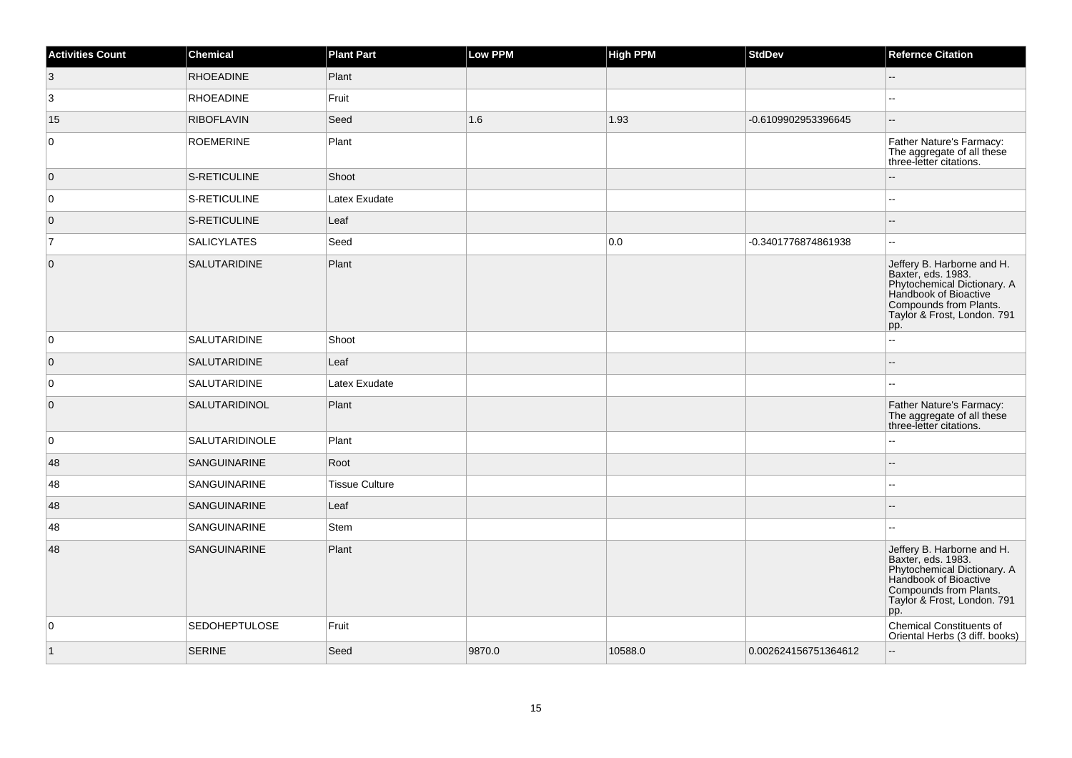| <b>Activities Count</b> | <b>Chemical</b>      | <b>Plant Part</b>     | <b>Low PPM</b> | <b>High PPM</b> | StdDev               | <b>Refernce Citation</b>                                                                                                                                                 |
|-------------------------|----------------------|-----------------------|----------------|-----------------|----------------------|--------------------------------------------------------------------------------------------------------------------------------------------------------------------------|
| $\vert 3 \vert$         | <b>RHOEADINE</b>     | Plant                 |                |                 |                      | $\overline{a}$                                                                                                                                                           |
| 3                       | <b>RHOEADINE</b>     | Fruit                 |                |                 |                      | шш.                                                                                                                                                                      |
| 15                      | <b>RIBOFLAVIN</b>    | Seed                  | 1.6            | 1.93            | -0.6109902953396645  | $\sim$ $\sim$                                                                                                                                                            |
| 0                       | <b>ROEMERINE</b>     | Plant                 |                |                 |                      | Father Nature's Farmacy:<br>The aggregate of all these<br>three-letter citations.                                                                                        |
| $\overline{0}$          | S-RETICULINE         | Shoot                 |                |                 |                      | --                                                                                                                                                                       |
| 0                       | S-RETICULINE         | Latex Exudate         |                |                 |                      |                                                                                                                                                                          |
| $\overline{0}$          | S-RETICULINE         | Leaf                  |                |                 |                      |                                                                                                                                                                          |
| $\overline{7}$          | <b>SALICYLATES</b>   | Seed                  |                | 0.0             | -0.3401776874861938  | ш.                                                                                                                                                                       |
| $\mathbf 0$             | SALUTARIDINE         | Plant                 |                |                 |                      | Jeffery B. Harborne and H.<br>Baxter, eds. 1983.<br>Phytochemical Dictionary. A<br>Handbook of Bioactive<br>Compounds from Plants.<br>Taylor & Frost, London. 791<br>pp. |
| $\mathbf 0$             | SALUTARIDINE         | Shoot                 |                |                 |                      | L.                                                                                                                                                                       |
| $\overline{0}$          | SALUTARIDINE         | Leaf                  |                |                 |                      | 4                                                                                                                                                                        |
| 0                       | SALUTARIDINE         | Latex Exudate         |                |                 |                      | ÷÷.                                                                                                                                                                      |
| $\overline{0}$          | SALUTARIDINOL        | Plant                 |                |                 |                      | Father Nature's Farmacy:<br>The aggregate of all these<br>three-letter citations.                                                                                        |
| $\mathbf 0$             | SALUTARIDINOLE       | Plant                 |                |                 |                      | --                                                                                                                                                                       |
| 48                      | SANGUINARINE         | Root                  |                |                 |                      |                                                                                                                                                                          |
| 48                      | SANGUINARINE         | <b>Tissue Culture</b> |                |                 |                      |                                                                                                                                                                          |
| 48                      | <b>SANGUINARINE</b>  | Leaf                  |                |                 |                      |                                                                                                                                                                          |
| 48                      | SANGUINARINE         | Stem                  |                |                 |                      |                                                                                                                                                                          |
| 48                      | SANGUINARINE         | Plant                 |                |                 |                      | Jeffery B. Harborne and H.<br>Baxter, eds. 1983.<br>Phytochemical Dictionary. A<br>Handbook of Bioactive<br>Compounds from Plants.<br>Taylor & Frost, London. 791<br>pp. |
| $\mathbf 0$             | <b>SEDOHEPTULOSE</b> | Fruit                 |                |                 |                      | Chemical Constituents of<br>Oriental Herbs (3 diff. books)                                                                                                               |
| $\vert$ 1               | <b>SERINE</b>        | Seed                  | 9870.0         | 10588.0         | 0.002624156751364612 | цú.                                                                                                                                                                      |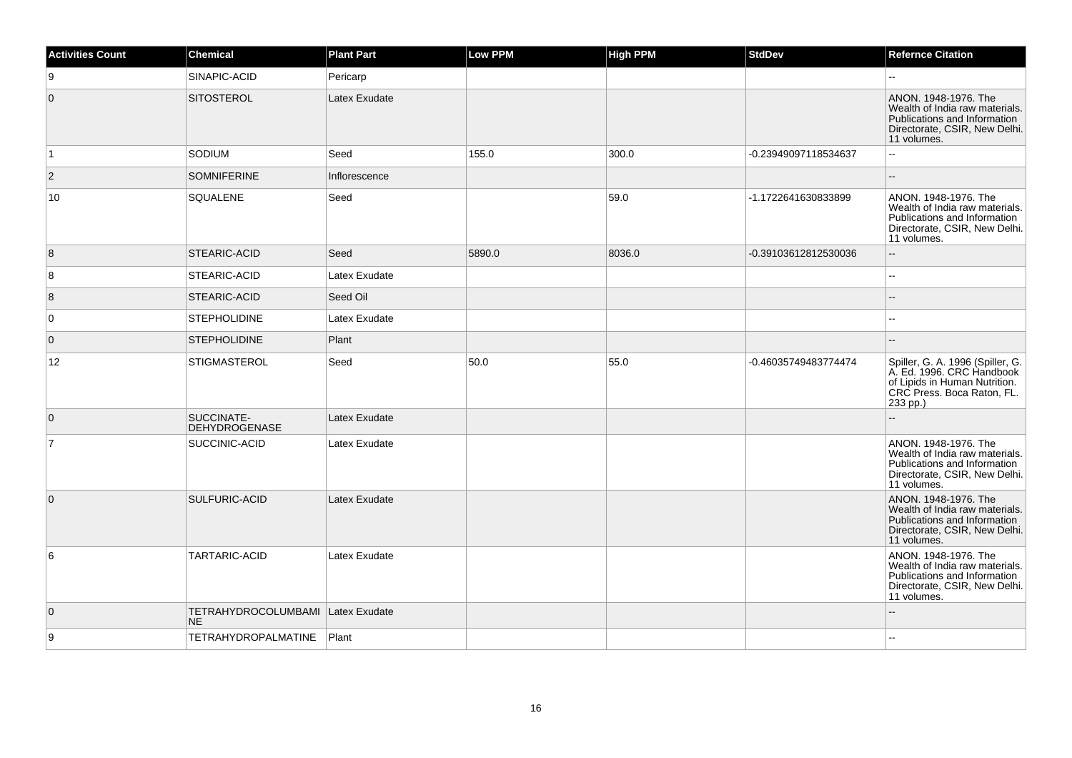| <b>Activities Count</b> | <b>Chemical</b>                          | <b>Plant Part</b> | Low PPM | <b>High PPM</b> | <b>StdDev</b>        | <b>Refernce Citation</b>                                                                                                                 |
|-------------------------|------------------------------------------|-------------------|---------|-----------------|----------------------|------------------------------------------------------------------------------------------------------------------------------------------|
| 9                       | SINAPIC-ACID                             | Pericarp          |         |                 |                      | $\mathbf{u}$                                                                                                                             |
| $\mathbf{0}$            | <b>SITOSTEROL</b>                        | Latex Exudate     |         |                 |                      | ANON. 1948-1976. The<br>Wealth of India raw materials.<br>Publications and Information<br>Directorate, CSIR, New Delhi.<br>11 volumes.   |
| $\vert$ 1               | SODIUM                                   | Seed              | 155.0   | 300.0           | -0.23949097118534637 | $\overline{a}$                                                                                                                           |
| $\mathbf{2}$            | <b>SOMNIFERINE</b>                       | Inflorescence     |         |                 |                      | $\sim$                                                                                                                                   |
| 10                      | <b>SQUALENE</b>                          | Seed              |         | 59.0            | -1.1722641630833899  | ANON, 1948-1976. The<br>Wealth of India raw materials.<br>Publications and Information<br>Directorate, CSIR, New Delhi.<br>11 volumes.   |
| 8                       | STEARIC-ACID                             | Seed              | 5890.0  | 8036.0          | -0.39103612812530036 | $\sim$                                                                                                                                   |
| 8                       | STEARIC-ACID                             | Latex Exudate     |         |                 |                      | ÷.                                                                                                                                       |
| 8                       | STEARIC-ACID                             | Seed Oil          |         |                 |                      |                                                                                                                                          |
| 0                       | <b>STEPHOLIDINE</b>                      | Latex Exudate     |         |                 |                      |                                                                                                                                          |
| $\mathbf{0}$            | <b>STEPHOLIDINE</b>                      | Plant             |         |                 |                      |                                                                                                                                          |
| 12                      | <b>STIGMASTEROL</b>                      | Seed              | 50.0    | 55.0            | -0.46035749483774474 | Spiller, G. A. 1996 (Spiller, G.<br>A. Ed. 1996. CRC Handbook<br>of Lipids in Human Nutrition.<br>CRC Press. Boca Raton, FL.<br>233 pp.) |
| $\overline{0}$          | SUCCINATE-<br><b>DEHYDROGENASE</b>       | Latex Exudate     |         |                 |                      |                                                                                                                                          |
| $\overline{7}$          | SUCCINIC-ACID                            | Latex Exudate     |         |                 |                      | ANON. 1948-1976. The<br>Wealth of India raw materials.<br>Publications and Information<br>Directorate, CSIR, New Delhi.<br>11 volumes.   |
| 0                       | SULFURIC-ACID                            | Latex Exudate     |         |                 |                      | ANON. 1948-1976. The<br>Wealth of India raw materials.<br>Publications and Information<br>Directorate, CSIR, New Delhi.<br>11 volumes.   |
| 6                       | TARTARIC-ACID                            | Latex Exudate     |         |                 |                      | ANON. 1948-1976. The<br>Wealth of India raw materials.<br>Publications and Information<br>Directorate, CSIR, New Delhi.<br>11 volumes.   |
| $\overline{0}$          | TETRAHYDROCOLUMBAMI Latex Exudate<br>NE. |                   |         |                 |                      | $\sim$                                                                                                                                   |
| 9                       | <b>TETRAHYDROPALMATINE</b>               | Plant             |         |                 |                      |                                                                                                                                          |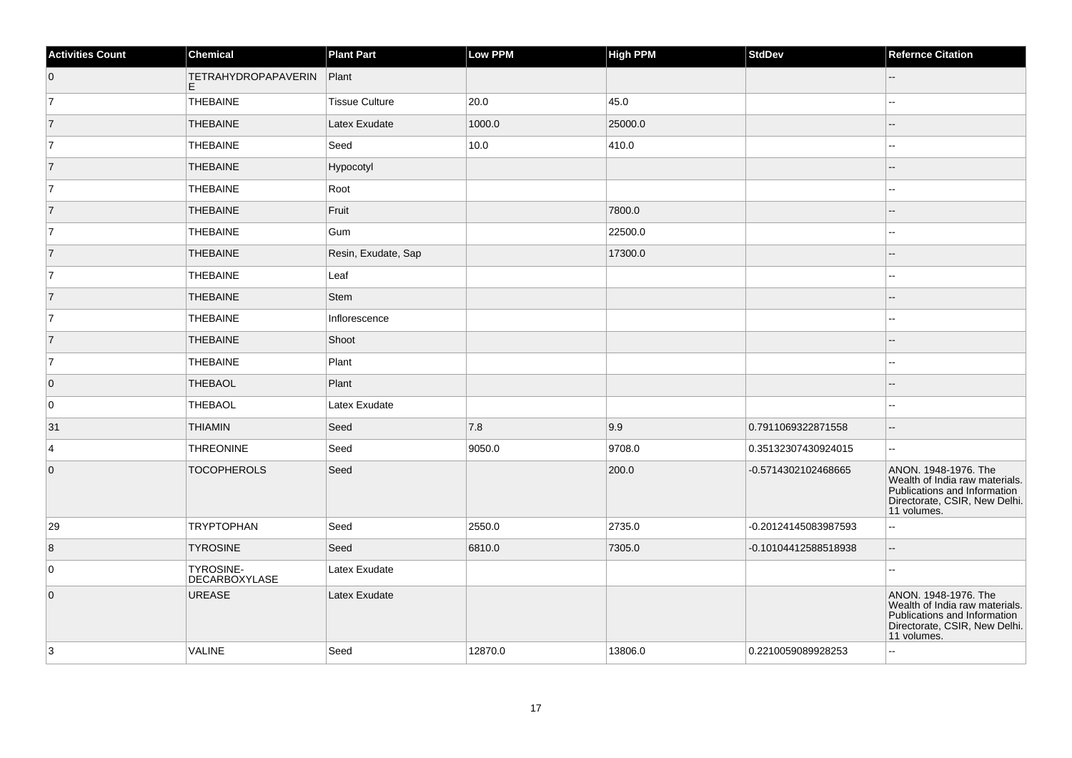| <b>Activities Count</b> | Chemical                          | <b>Plant Part</b>     | Low PPM | <b>High PPM</b> | <b>StdDev</b>        | <b>Refernce Citation</b>                                                                                                               |
|-------------------------|-----------------------------------|-----------------------|---------|-----------------|----------------------|----------------------------------------------------------------------------------------------------------------------------------------|
| $\overline{0}$          | <b>TETRAHYDROPAPAVERIN</b><br>E   | Plant                 |         |                 |                      |                                                                                                                                        |
| 7                       | THEBAINE                          | <b>Tissue Culture</b> | 20.0    | 45.0            |                      |                                                                                                                                        |
| 7                       | <b>THEBAINE</b>                   | Latex Exudate         | 1000.0  | 25000.0         |                      |                                                                                                                                        |
| $\vert$ 7               | <b>THEBAINE</b>                   | Seed                  | 10.0    | 410.0           |                      | 4                                                                                                                                      |
| $\overline{7}$          | <b>THEBAINE</b>                   | Hypocotyl             |         |                 |                      |                                                                                                                                        |
| $\overline{7}$          | <b>THEBAINE</b>                   | Root                  |         |                 |                      | ÷.                                                                                                                                     |
| 7                       | <b>THEBAINE</b>                   | Fruit                 |         | 7800.0          |                      |                                                                                                                                        |
| 7                       | THEBAINE                          | Gum                   |         | 22500.0         |                      |                                                                                                                                        |
| 7                       | <b>THEBAINE</b>                   | Resin, Exudate, Sap   |         | 17300.0         |                      |                                                                                                                                        |
| 7                       | <b>THEBAINE</b>                   | Leaf                  |         |                 |                      |                                                                                                                                        |
| $\overline{7}$          | THEBAINE                          | Stem                  |         |                 |                      |                                                                                                                                        |
| $\vert$ 7               | <b>THEBAINE</b>                   | Inflorescence         |         |                 |                      | 4                                                                                                                                      |
| 7                       | <b>THEBAINE</b>                   | Shoot                 |         |                 |                      |                                                                                                                                        |
| 7                       | <b>THEBAINE</b>                   | Plant                 |         |                 |                      | ÷.                                                                                                                                     |
| $\overline{0}$          | THEBAOL                           | Plant                 |         |                 |                      |                                                                                                                                        |
| 0                       | THEBAOL                           | Latex Exudate         |         |                 |                      | $\overline{a}$                                                                                                                         |
| 31                      | <b>THIAMIN</b>                    | Seed                  | 7.8     | 9.9             | 0.7911069322871558   | $-$                                                                                                                                    |
| $\overline{4}$          | <b>THREONINE</b>                  | Seed                  | 9050.0  | 9708.0          | 0.35132307430924015  | --                                                                                                                                     |
| $\overline{0}$          | <b>TOCOPHEROLS</b>                | Seed                  |         | 200.0           | -0.5714302102468665  | ANON. 1948-1976. The<br>Wealth of India raw materials.<br>Publications and Information<br>Directorate, CSIR, New Delhi.<br>11 volumes. |
| 29                      | <b>TRYPTOPHAN</b>                 | Seed                  | 2550.0  | 2735.0          | -0.20124145083987593 | 44                                                                                                                                     |
| 8                       | <b>TYROSINE</b>                   | Seed                  | 6810.0  | 7305.0          | -0.10104412588518938 | $-$                                                                                                                                    |
| 0                       | <b>TYROSINE-</b><br>DECARBOXYLASE | Latex Exudate         |         |                 |                      |                                                                                                                                        |
| $\overline{0}$          | <b>UREASE</b>                     | Latex Exudate         |         |                 |                      | ANON. 1948-1976. The<br>Wealth of India raw materials.<br>Publications and Information<br>Directorate, CSIR, New Delhi.<br>11 volumes. |
| 3                       | <b>VALINE</b>                     | Seed                  | 12870.0 | 13806.0         | 0.2210059089928253   | L.                                                                                                                                     |